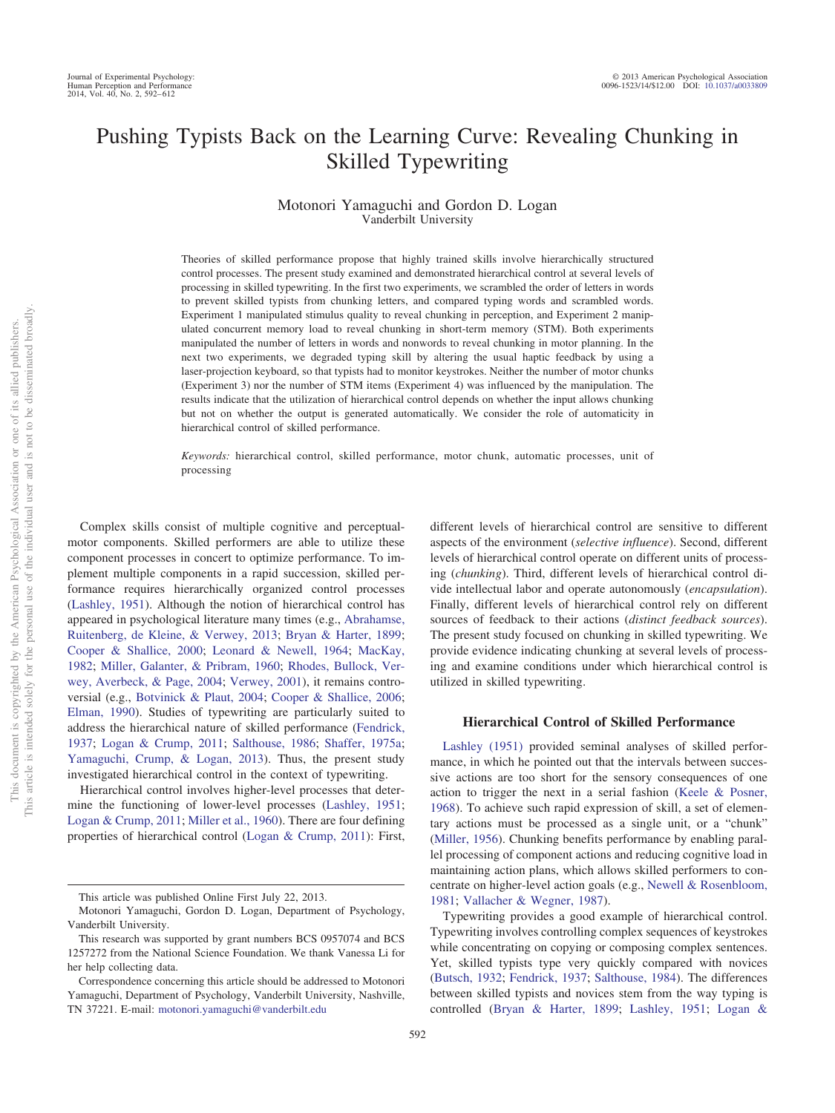# Pushing Typists Back on the Learning Curve: Revealing Chunking in Skilled Typewriting

Motonori Yamaguchi and Gordon D. Logan Vanderbilt University

Theories of skilled performance propose that highly trained skills involve hierarchically structured control processes. The present study examined and demonstrated hierarchical control at several levels of processing in skilled typewriting. In the first two experiments, we scrambled the order of letters in words to prevent skilled typists from chunking letters, and compared typing words and scrambled words. Experiment 1 manipulated stimulus quality to reveal chunking in perception, and Experiment 2 manipulated concurrent memory load to reveal chunking in short-term memory (STM). Both experiments manipulated the number of letters in words and nonwords to reveal chunking in motor planning. In the next two experiments, we degraded typing skill by altering the usual haptic feedback by using a laser-projection keyboard, so that typists had to monitor keystrokes. Neither the number of motor chunks (Experiment 3) nor the number of STM items (Experiment 4) was influenced by the manipulation. The results indicate that the utilization of hierarchical control depends on whether the input allows chunking but not on whether the output is generated automatically. We consider the role of automaticity in hierarchical control of skilled performance.

*Keywords:* hierarchical control, skilled performance, motor chunk, automatic processes, unit of processing

Complex skills consist of multiple cognitive and perceptualmotor components. Skilled performers are able to utilize these component processes in concert to optimize performance. To implement multiple components in a rapid succession, skilled performance requires hierarchically organized control processes [\(Lashley, 1951\)](#page-16-0). Although the notion of hierarchical control has appeared in psychological literature many times (e.g., [Abrahamse,](#page-15-0) [Ruitenberg, de Kleine, & Verwey, 2013;](#page-15-0) [Bryan & Harter, 1899;](#page-15-1) [Cooper & Shallice, 2000;](#page-15-2) [Leonard & Newell, 1964;](#page-16-1) [MacKay,](#page-16-2) [1982;](#page-16-2) [Miller, Galanter, & Pribram, 1960;](#page-16-3) [Rhodes, Bullock, Ver](#page-17-0)[wey, Averbeck, & Page, 2004;](#page-17-0) [Verwey, 2001\)](#page-17-1), it remains controversial (e.g., [Botvinick & Plaut, 2004;](#page-15-3) [Cooper & Shallice, 2006;](#page-15-4) [Elman, 1990\)](#page-16-4). Studies of typewriting are particularly suited to address the hierarchical nature of skilled performance [\(Fendrick,](#page-16-5) [1937;](#page-16-5) [Logan & Crump, 2011;](#page-16-6) [Salthouse, 1986;](#page-17-2) [Shaffer, 1975a;](#page-17-3) [Yamaguchi, Crump, & Logan, 2013\)](#page-17-4). Thus, the present study investigated hierarchical control in the context of typewriting.

Hierarchical control involves higher-level processes that determine the functioning of lower-level processes [\(Lashley, 1951;](#page-16-0) [Logan & Crump, 2011;](#page-16-6) [Miller et al., 1960\)](#page-16-3). There are four defining properties of hierarchical control [\(Logan & Crump, 2011\)](#page-16-6): First,

different levels of hierarchical control are sensitive to different aspects of the environment (*selective influence*). Second, different levels of hierarchical control operate on different units of processing (*chunking*). Third, different levels of hierarchical control divide intellectual labor and operate autonomously (*encapsulation*). Finally, different levels of hierarchical control rely on different sources of feedback to their actions (*distinct feedback sources*). The present study focused on chunking in skilled typewriting. We provide evidence indicating chunking at several levels of processing and examine conditions under which hierarchical control is utilized in skilled typewriting.

### **Hierarchical Control of Skilled Performance**

[Lashley \(1951\)](#page-16-0) provided seminal analyses of skilled performance, in which he pointed out that the intervals between successive actions are too short for the sensory consequences of one action to trigger the next in a serial fashion [\(Keele & Posner,](#page-16-7) [1968\)](#page-16-7). To achieve such rapid expression of skill, a set of elementary actions must be processed as a single unit, or a "chunk" [\(Miller, 1956\)](#page-16-8). Chunking benefits performance by enabling parallel processing of component actions and reducing cognitive load in maintaining action plans, which allows skilled performers to concentrate on higher-level action goals (e.g., [Newell & Rosenbloom,](#page-16-9) [1981;](#page-16-9) [Vallacher & Wegner, 1987\)](#page-17-5).

Typewriting provides a good example of hierarchical control. Typewriting involves controlling complex sequences of keystrokes while concentrating on copying or composing complex sentences. Yet, skilled typists type very quickly compared with novices [\(Butsch, 1932;](#page-15-5) [Fendrick, 1937;](#page-16-5) [Salthouse, 1984\)](#page-17-6). The differences between skilled typists and novices stem from the way typing is controlled [\(Bryan & Harter, 1899;](#page-15-1) [Lashley, 1951;](#page-16-0) [Logan &](#page-16-6)

This article was published Online First July 22, 2013.

Motonori Yamaguchi, Gordon D. Logan, Department of Psychology, Vanderbilt University.

This research was supported by grant numbers BCS 0957074 and BCS 1257272 from the National Science Foundation. We thank Vanessa Li for her help collecting data.

Correspondence concerning this article should be addressed to Motonori Yamaguchi, Department of Psychology, Vanderbilt University, Nashville, TN 37221. E-mail: [motonori.yamaguchi@vanderbilt.edu](mailto:motonori.yamaguchi@vanderbilt.edu)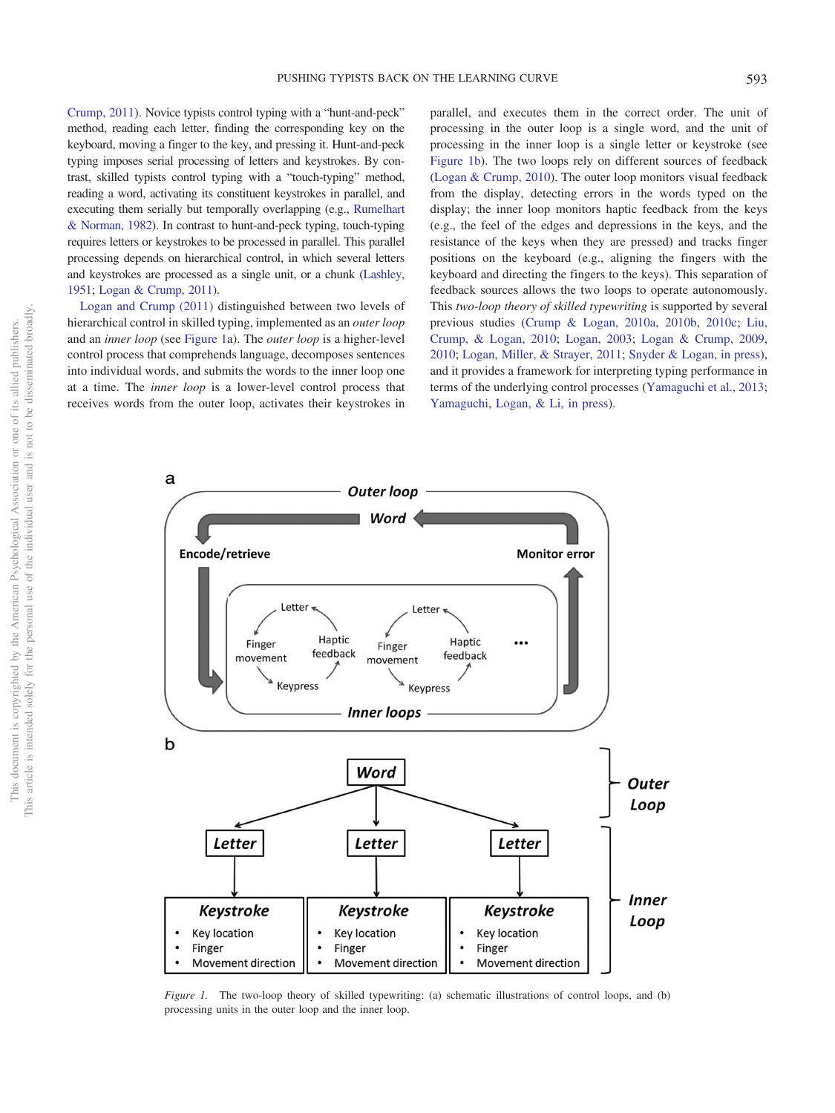[Crump, 2011\)](#page-16-6). Novice typists control typing with a "hunt-and-peck" method, reading each letter, finding the corresponding key on the keyboard, moving a finger to the key, and pressing it. Hunt-and-peck typing imposes serial processing of letters and keystrokes. By contrast, skilled typists control typing with a "touch-typing" method, reading a word, activating its constituent keystrokes in parallel, and executing them serially but temporally overlapping (e.g., [Rumelhart](#page-17-7) [& Norman, 1982\)](#page-17-7). In contrast to hunt-and-peck typing, touch-typing requires letters or keystrokes to be processed in parallel. This parallel processing depends on hierarchical control, in which several letters and keystrokes are processed as a single unit, or a chunk [\(Lashley,](#page-16-0) [1951;](#page-16-0) [Logan & Crump, 2011\)](#page-16-6).

[Logan and Crump \(2011\)](#page-16-6) distinguished between two levels of hierarchical control in skilled typing, implemented as an *outer loop* and an *inner loop* (see [Figure 1a](#page-1-0)). The *outer loop* is a higher-level control process that comprehends language, decomposes sentences into individual words, and submits the words to the inner loop one at a time. The *inner loop* is a lower-level control process that receives words from the outer loop, activates their keystrokes in

parallel, and executes them in the correct order. The unit of processing in the outer loop is a single word, and the unit of processing in the inner loop is a single letter or keystroke (see [Figure 1b\)](#page-1-0). The two loops rely on different sources of feedback [\(Logan & Crump, 2010\)](#page-16-10). The outer loop monitors visual feedback from the display, detecting errors in the words typed on the display; the inner loop monitors haptic feedback from the keys (e.g., the feel of the edges and depressions in the keys, and the resistance of the keys when they are pressed) and tracks finger positions on the keyboard (e.g., aligning the fingers with the keyboard and directing the fingers to the keys). This separation of feedback sources allows the two loops to operate autonomously. This *two-loop theory of skilled typewriting* is supported by several previous studies [\(Crump & Logan, 2010a,](#page-16-11) [2010b,](#page-16-12) [2010c;](#page-16-13) [Liu,](#page-16-14) [Crump, & Logan, 2010;](#page-16-14) [Logan, 2003;](#page-16-15) [Logan & Crump, 2009,](#page-16-16) [2010;](#page-16-10) [Logan, Miller, & Strayer, 2011;](#page-16-17) [Snyder & Logan, in press\)](#page-17-8), and it provides a framework for interpreting typing performance in terms of the underlying control processes [\(Yamaguchi et al., 2013;](#page-17-4) [Yamaguchi, Logan, & Li, in press\)](#page-17-9).



<span id="page-1-0"></span>*Figure 1.* The two-loop theory of skilled typewriting: (a) schematic illustrations of control loops, and (b) processing units in the outer loop and the inner loop.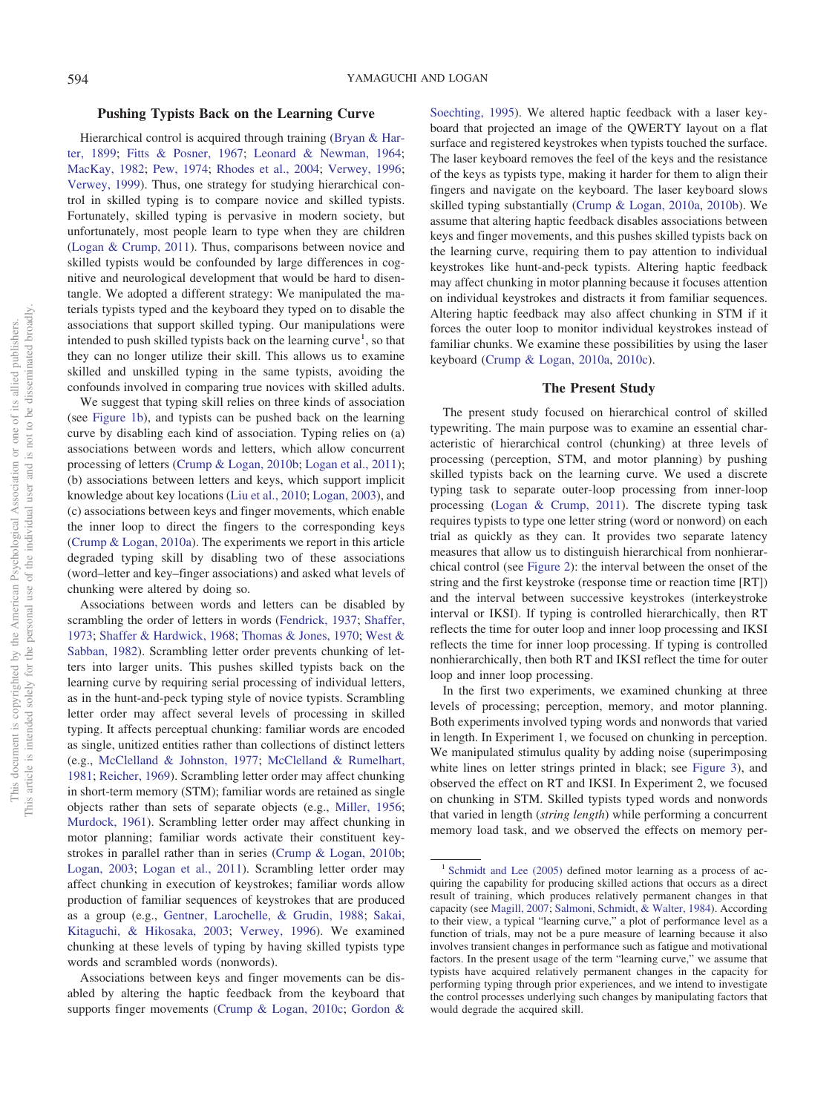### **Pushing Typists Back on the Learning Curve**

Hierarchical control is acquired through training [\(Bryan & Har](#page-15-1)[ter, 1899;](#page-15-1) [Fitts & Posner, 1967;](#page-16-18) [Leonard & Newman, 1964;](#page-16-1) [MacKay, 1982;](#page-16-2) [Pew, 1974;](#page-17-10) [Rhodes et al., 2004;](#page-17-0) [Verwey, 1996;](#page-17-11) [Verwey, 1999\)](#page-17-12). Thus, one strategy for studying hierarchical control in skilled typing is to compare novice and skilled typists. Fortunately, skilled typing is pervasive in modern society, but unfortunately, most people learn to type when they are children [\(Logan & Crump, 2011\)](#page-16-6). Thus, comparisons between novice and skilled typists would be confounded by large differences in cognitive and neurological development that would be hard to disentangle. We adopted a different strategy: We manipulated the materials typists typed and the keyboard they typed on to disable the associations that support skilled typing. Our manipulations were intended to push skilled typists back on the learning curve<sup>1</sup>, so that they can no longer utilize their skill. This allows us to examine skilled and unskilled typing in the same typists, avoiding the confounds involved in comparing true novices with skilled adults.

We suggest that typing skill relies on three kinds of association (see [Figure 1b\)](#page-1-0), and typists can be pushed back on the learning curve by disabling each kind of association. Typing relies on (a) associations between words and letters, which allow concurrent processing of letters [\(Crump & Logan, 2010b;](#page-16-12) [Logan et al., 2011\)](#page-16-17); (b) associations between letters and keys, which support implicit knowledge about key locations [\(Liu et al., 2010;](#page-16-14) [Logan, 2003\)](#page-16-15), and (c) associations between keys and finger movements, which enable the inner loop to direct the fingers to the corresponding keys [\(Crump & Logan, 2010a\)](#page-16-11). The experiments we report in this article degraded typing skill by disabling two of these associations (word–letter and key–finger associations) and asked what levels of chunking were altered by doing so.

Associations between words and letters can be disabled by scrambling the order of letters in words [\(Fendrick, 1937;](#page-16-5) [Shaffer,](#page-17-13) [1973;](#page-17-13) [Shaffer & Hardwick, 1968;](#page-17-14) [Thomas & Jones, 1970;](#page-17-15) [West &](#page-17-16) [Sabban, 1982\)](#page-17-16). Scrambling letter order prevents chunking of letters into larger units. This pushes skilled typists back on the learning curve by requiring serial processing of individual letters, as in the hunt-and-peck typing style of novice typists. Scrambling letter order may affect several levels of processing in skilled typing. It affects perceptual chunking: familiar words are encoded as single, unitized entities rather than collections of distinct letters (e.g., [McClelland & Johnston, 1977;](#page-16-19) [McClelland & Rumelhart,](#page-16-20) [1981;](#page-16-20) [Reicher, 1969\)](#page-17-17). Scrambling letter order may affect chunking in short-term memory (STM); familiar words are retained as single objects rather than sets of separate objects (e.g., [Miller, 1956;](#page-16-8) [Murdock, 1961\)](#page-16-21). Scrambling letter order may affect chunking in motor planning; familiar words activate their constituent keystrokes in parallel rather than in series [\(Crump & Logan, 2010b;](#page-16-12) [Logan, 2003;](#page-16-15) [Logan et al., 2011\)](#page-16-17). Scrambling letter order may affect chunking in execution of keystrokes; familiar words allow production of familiar sequences of keystrokes that are produced as a group (e.g., [Gentner, Larochelle, & Grudin, 1988;](#page-16-22) [Sakai,](#page-17-18) [Kitaguchi, & Hikosaka, 2003;](#page-17-18) [Verwey, 1996\)](#page-17-11). We examined chunking at these levels of typing by having skilled typists type words and scrambled words (nonwords).

Associations between keys and finger movements can be disabled by altering the haptic feedback from the keyboard that supports finger movements [\(Crump & Logan, 2010c;](#page-16-13) [Gordon &](#page-16-23) [Soechting, 1995\)](#page-16-23). We altered haptic feedback with a laser keyboard that projected an image of the QWERTY layout on a flat surface and registered keystrokes when typists touched the surface. The laser keyboard removes the feel of the keys and the resistance of the keys as typists type, making it harder for them to align their fingers and navigate on the keyboard. The laser keyboard slows skilled typing substantially [\(Crump & Logan, 2010a,](#page-16-11) [2010b\)](#page-16-12). We assume that altering haptic feedback disables associations between keys and finger movements, and this pushes skilled typists back on the learning curve, requiring them to pay attention to individual keystrokes like hunt-and-peck typists. Altering haptic feedback may affect chunking in motor planning because it focuses attention on individual keystrokes and distracts it from familiar sequences. Altering haptic feedback may also affect chunking in STM if it forces the outer loop to monitor individual keystrokes instead of familiar chunks. We examine these possibilities by using the laser keyboard [\(Crump & Logan, 2010a,](#page-16-11) [2010c\)](#page-16-13).

#### **The Present Study**

The present study focused on hierarchical control of skilled typewriting. The main purpose was to examine an essential characteristic of hierarchical control (chunking) at three levels of processing (perception, STM, and motor planning) by pushing skilled typists back on the learning curve. We used a discrete typing task to separate outer-loop processing from inner-loop processing [\(Logan & Crump, 2011\)](#page-16-6). The discrete typing task requires typists to type one letter string (word or nonword) on each trial as quickly as they can. It provides two separate latency measures that allow us to distinguish hierarchical from nonhierarchical control (see [Figure 2\)](#page-3-0): the interval between the onset of the string and the first keystroke (response time or reaction time [RT]) and the interval between successive keystrokes (interkeystroke interval or IKSI). If typing is controlled hierarchically, then RT reflects the time for outer loop and inner loop processing and IKSI reflects the time for inner loop processing. If typing is controlled nonhierarchically, then both RT and IKSI reflect the time for outer loop and inner loop processing.

In the first two experiments, we examined chunking at three levels of processing; perception, memory, and motor planning. Both experiments involved typing words and nonwords that varied in length. In Experiment 1, we focused on chunking in perception. We manipulated stimulus quality by adding noise (superimposing white lines on letter strings printed in black; see [Figure 3\)](#page-3-1), and observed the effect on RT and IKSI. In Experiment 2, we focused on chunking in STM. Skilled typists typed words and nonwords that varied in length (*string length*) while performing a concurrent memory load task, and we observed the effects on memory per-

<sup>&</sup>lt;sup>1</sup> [Schmidt and Lee \(2005\)](#page-17-19) defined motor learning as a process of acquiring the capability for producing skilled actions that occurs as a direct result of training, which produces relatively permanent changes in that capacity (see [Magill, 2007;](#page-16-24) [Salmoni, Schmidt, & Walter, 1984\)](#page-17-20). According to their view, a typical "learning curve," a plot of performance level as a function of trials, may not be a pure measure of learning because it also involves transient changes in performance such as fatigue and motivational factors. In the present usage of the term "learning curve," we assume that typists have acquired relatively permanent changes in the capacity for performing typing through prior experiences, and we intend to investigate the control processes underlying such changes by manipulating factors that would degrade the acquired skill.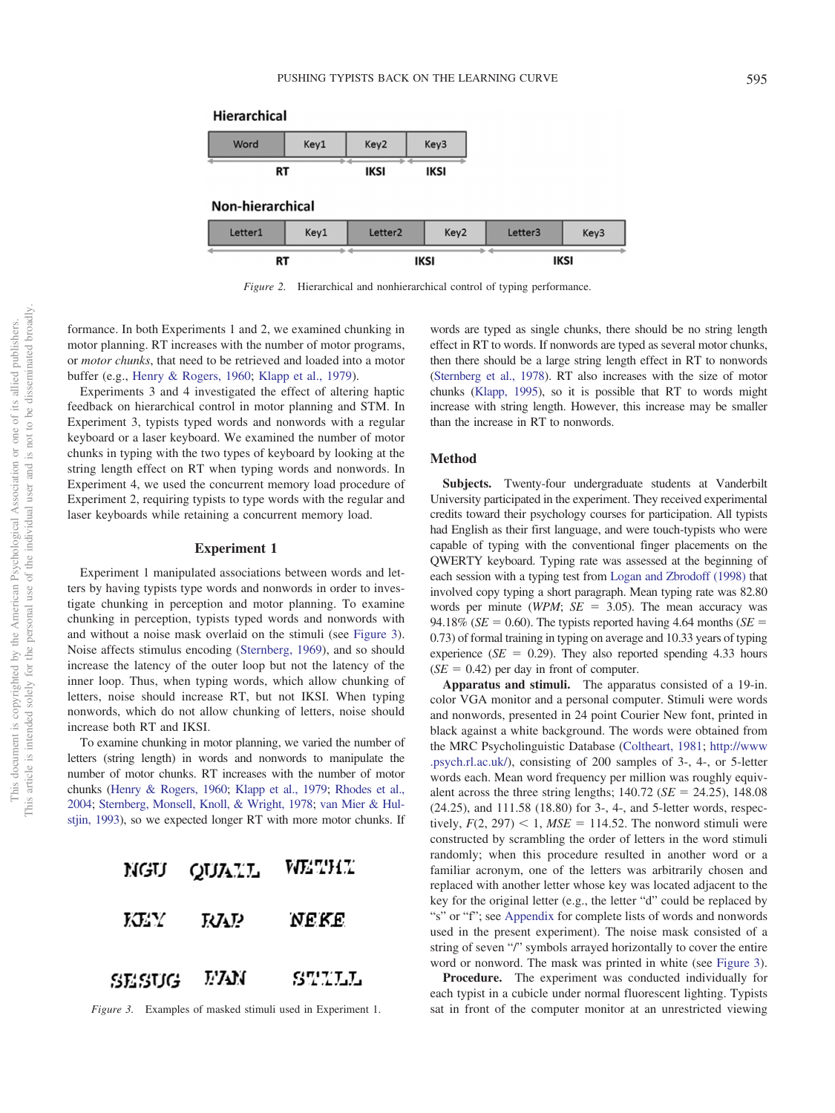

<span id="page-3-0"></span>*Figure 2.* Hierarchical and nonhierarchical control of typing performance.

formance. In both Experiments 1 and 2, we examined chunking in motor planning. RT increases with the number of motor programs, or *motor chunks*, that need to be retrieved and loaded into a motor buffer (e.g., [Henry & Rogers, 1960;](#page-16-25) [Klapp et al., 1979\)](#page-16-26).

Experiments 3 and 4 investigated the effect of altering haptic feedback on hierarchical control in motor planning and STM. In Experiment 3, typists typed words and nonwords with a regular keyboard or a laser keyboard. We examined the number of motor chunks in typing with the two types of keyboard by looking at the string length effect on RT when typing words and nonwords. In Experiment 4, we used the concurrent memory load procedure of Experiment 2, requiring typists to type words with the regular and laser keyboards while retaining a concurrent memory load.

### **Experiment 1**

Experiment 1 manipulated associations between words and letters by having typists type words and nonwords in order to investigate chunking in perception and motor planning. To examine chunking in perception, typists typed words and nonwords with and without a noise mask overlaid on the stimuli (see [Figure 3\)](#page-3-1). Noise affects stimulus encoding [\(Sternberg, 1969\)](#page-17-21), and so should increase the latency of the outer loop but not the latency of the inner loop. Thus, when typing words, which allow chunking of letters, noise should increase RT, but not IKSI. When typing nonwords, which do not allow chunking of letters, noise should increase both RT and IKSI.

To examine chunking in motor planning, we varied the number of letters (string length) in words and nonwords to manipulate the number of motor chunks. RT increases with the number of motor chunks [\(Henry & Rogers, 1960;](#page-16-25) [Klapp et al., 1979;](#page-16-26) [Rhodes et al.,](#page-17-0) [2004;](#page-17-0) [Sternberg, Monsell, Knoll, & Wright, 1978;](#page-17-22) [van Mier & Hul](#page-17-23)[stjin, 1993\)](#page-17-23), so we expected longer RT with more motor chunks. If



<span id="page-3-1"></span>*Figure 3.* Examples of masked stimuli used in Experiment 1.

words are typed as single chunks, there should be no string length effect in RT to words. If nonwords are typed as several motor chunks, then there should be a large string length effect in RT to nonwords [\(Sternberg et al., 1978\)](#page-17-22). RT also increases with the size of motor chunks [\(Klapp, 1995\)](#page-16-27), so it is possible that RT to words might increase with string length. However, this increase may be smaller than the increase in RT to nonwords.

### **Method**

**Subjects.** Twenty-four undergraduate students at Vanderbilt University participated in the experiment. They received experimental credits toward their psychology courses for participation. All typists had English as their first language, and were touch-typists who were capable of typing with the conventional finger placements on the QWERTY keyboard. Typing rate was assessed at the beginning of each session with a typing test from [Logan and Zbrodoff \(1998\)](#page-16-28) that involved copy typing a short paragraph. Mean typing rate was 82.80 words per minute ( $WPM$ ;  $SE = 3.05$ ). The mean accuracy was 94.18% ( $SE = 0.60$ ). The typists reported having 4.64 months ( $SE =$ 0.73) of formal training in typing on average and 10.33 years of typing experience ( $SE = 0.29$ ). They also reported spending 4.33 hours  $(SE = 0.42)$  per day in front of computer.

**Apparatus and stimuli.** The apparatus consisted of a 19-in. color VGA monitor and a personal computer. Stimuli were words and nonwords, presented in 24 point Courier New font, printed in black against a white background. The words were obtained from the MRC Psycholinguistic Database [\(Coltheart, 1981;](#page-15-6) [http://www](http://www.psych.rl.ac.uk/) [.psych.rl.ac.uk/\)](http://www.psych.rl.ac.uk/), consisting of 200 samples of 3-, 4-, or 5-letter words each. Mean word frequency per million was roughly equivalent across the three string lengths;  $140.72$  (*SE* = 24.25),  $148.08$ (24.25), and 111.58 (18.80) for 3-, 4-, and 5-letter words, respectively,  $F(2, 297) < 1$ ,  $MSE = 114.52$ . The nonword stimuli were constructed by scrambling the order of letters in the word stimuli randomly; when this procedure resulted in another word or a familiar acronym, one of the letters was arbitrarily chosen and replaced with another letter whose key was located adjacent to the key for the original letter (e.g., the letter "d" could be replaced by "s" or "f"; see [Appendix](#page-18-0) for complete lists of words and nonwords used in the present experiment). The noise mask consisted of a string of seven "/" symbols arrayed horizontally to cover the entire word or nonword. The mask was printed in white (see [Figure 3\)](#page-3-1).

**Procedure.** The experiment was conducted individually for each typist in a cubicle under normal fluorescent lighting. Typists sat in front of the computer monitor at an unrestricted viewing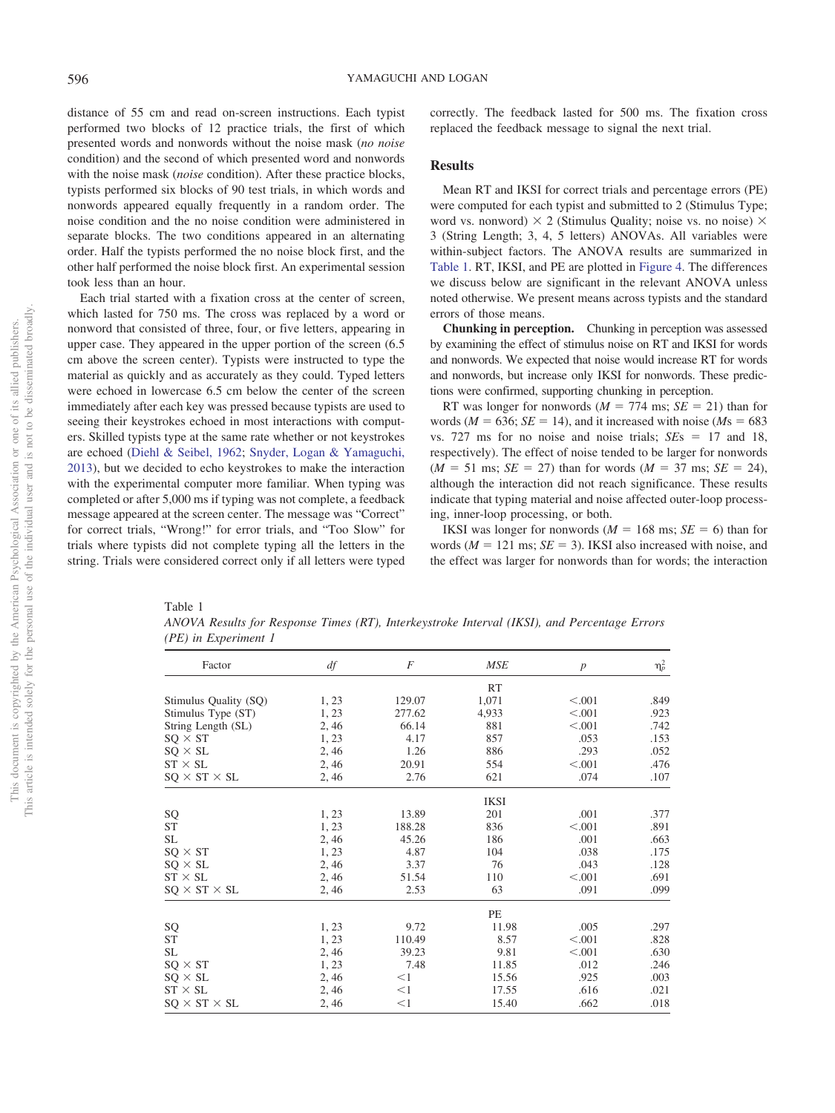distance of 55 cm and read on-screen instructions. Each typist performed two blocks of 12 practice trials, the first of which presented words and nonwords without the noise mask (*no noise* condition) and the second of which presented word and nonwords with the noise mask *(noise* condition). After these practice blocks, typists performed six blocks of 90 test trials, in which words and nonwords appeared equally frequently in a random order. The noise condition and the no noise condition were administered in separate blocks. The two conditions appeared in an alternating order. Half the typists performed the no noise block first, and the other half performed the noise block first. An experimental session took less than an hour.

Each trial started with a fixation cross at the center of screen, which lasted for 750 ms. The cross was replaced by a word or nonword that consisted of three, four, or five letters, appearing in upper case. They appeared in the upper portion of the screen (6.5 cm above the screen center). Typists were instructed to type the material as quickly and as accurately as they could. Typed letters were echoed in lowercase 6.5 cm below the center of the screen immediately after each key was pressed because typists are used to seeing their keystrokes echoed in most interactions with computers. Skilled typists type at the same rate whether or not keystrokes are echoed [\(Diehl & Seibel, 1962;](#page-16-29) [Snyder, Logan & Yamaguchi,](#page-17-24) [2013\)](#page-17-24), but we decided to echo keystrokes to make the interaction with the experimental computer more familiar. When typing was completed or after 5,000 ms if typing was not complete, a feedback message appeared at the screen center. The message was "Correct" for correct trials, "Wrong!" for error trials, and "Too Slow" for trials where typists did not complete typing all the letters in the string. Trials were considered correct only if all letters were typed correctly. The feedback lasted for 500 ms. The fixation cross replaced the feedback message to signal the next trial.

### **Results**

Mean RT and IKSI for correct trials and percentage errors (PE) were computed for each typist and submitted to 2 (Stimulus Type; word vs. nonword)  $\times$  2 (Stimulus Quality; noise vs. no noise)  $\times$ 3 (String Length; 3, 4, 5 letters) ANOVAs. All variables were within-subject factors. The ANOVA results are summarized in [Table 1.](#page-4-0) RT, IKSI, and PE are plotted in [Figure 4.](#page-5-0) The differences we discuss below are significant in the relevant ANOVA unless noted otherwise. We present means across typists and the standard errors of those means.

**Chunking in perception.** Chunking in perception was assessed by examining the effect of stimulus noise on RT and IKSI for words and nonwords. We expected that noise would increase RT for words and nonwords, but increase only IKSI for nonwords. These predictions were confirmed, supporting chunking in perception.

RT was longer for nonwords ( $M = 774$  ms;  $SE = 21$ ) than for words ( $M = 636$ ;  $SE = 14$ ), and it increased with noise ( $Ms = 683$ ) vs. 727 ms for no noise and noise trials;  $SEs = 17$  and 18, respectively). The effect of noise tended to be larger for nonwords  $(M = 51 \text{ ms}; \, SE = 27)$  than for words  $(M = 37 \text{ ms}; \, SE = 24)$ , although the interaction did not reach significance. These results indicate that typing material and noise affected outer-loop processing, inner-loop processing, or both.

IKSI was longer for nonwords ( $M = 168$  ms;  $SE = 6$ ) than for words  $(M = 121 \text{ ms}; SE = 3)$ . IKSI also increased with noise, and the effect was larger for nonwords than for words; the interaction

<span id="page-4-0"></span>

| Table 1                                                                                      |
|----------------------------------------------------------------------------------------------|
| ANOVA Results for Response Times (RT), Interkeystroke Interval (IKSI), and Percentage Errors |
| $(PE)$ in Experiment 1                                                                       |

| Factor                   | df    | $\overline{F}$ | <b>MSE</b>  | $\boldsymbol{p}$ | $\eta_p^2$ |
|--------------------------|-------|----------------|-------------|------------------|------------|
|                          |       |                | <b>RT</b>   |                  |            |
| Stimulus Quality (SQ)    | 1, 23 | 129.07         | 1,071       | < 0.001          | .849       |
| Stimulus Type (ST)       | 1, 23 | 277.62         | 4,933       | < 0.001          | .923       |
| String Length (SL)       | 2, 46 | 66.14          | 881         | < 0.001          | .742       |
| $SO \times ST$           | 1, 23 | 4.17           | 857         | .053             | .153       |
| $SQ \times SL$           | 2, 46 | 1.26           | 886         | .293             | .052       |
| $ST \times SL$           | 2, 46 | 20.91          | 554         | < 0.001          | .476       |
| $SO \times ST \times SL$ | 2, 46 | 2.76           | 621         | .074             | .107       |
|                          |       |                | <b>IKSI</b> |                  |            |
| SQ                       | 1, 23 | 13.89          | 201         | .001             | .377       |
| <b>ST</b>                | 1, 23 | 188.28         | 836         | < 0.001          | .891       |
| <b>SL</b>                | 2, 46 | 45.26          | 186         | .001             | .663       |
| $SO \times ST$           | 1, 23 | 4.87           | 104         | .038             | .175       |
| $SO \times SL$           | 2, 46 | 3.37           | 76          | .043             | .128       |
| $ST \times SL$           | 2, 46 | 51.54          | 110         | < 0.001          | .691       |
| $SO \times ST \times SL$ | 2, 46 | 2.53           | 63          | .091             | .099       |
|                          |       |                | PE          |                  |            |
| SQ                       | 1, 23 | 9.72           | 11.98       | .005             | .297       |
| <b>ST</b>                | 1, 23 | 110.49         | 8.57        | < 0.001          | .828       |
| <b>SL</b>                | 2, 46 | 39.23          | 9.81        | < 0.001          | .630       |
| $SO \times ST$           | 1, 23 | 7.48           | 11.85       | .012             | .246       |
| $SO \times SL$           | 2, 46 | $<$ 1          | 15.56       | .925             | .003       |
| $ST \times SL$           | 2, 46 | $<$ 1          | 17.55       | .616             | .021       |
| $SO \times ST \times SL$ | 2, 46 | $<$ 1          | 15.40       | .662             | .018       |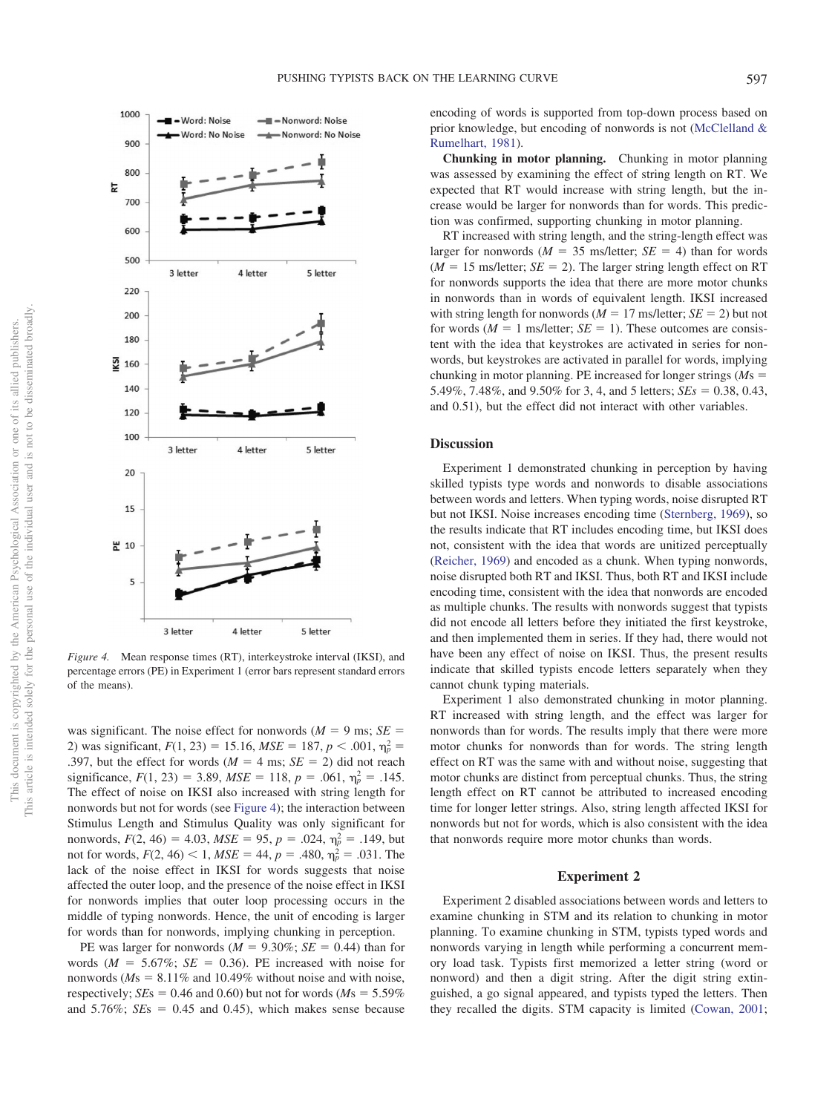

<span id="page-5-0"></span>*Figure 4.* Mean response times (RT), interkeystroke interval (IKSI), and percentage errors (PE) in Experiment 1 (error bars represent standard errors of the means).

was significant. The noise effect for nonwords ( $M = 9$  ms;  $SE =$ 2) was significant,  $F(1, 23) = 15.16$ ,  $MSE = 187$ ,  $p < .001$ ,  $\eta_p^2 =$ .397, but the effect for words ( $M = 4$  ms;  $SE = 2$ ) did not reach significance,  $F(1, 23) = 3.89$ ,  $MSE = 118$ ,  $p = .061$ ,  $\eta_p^2 = .145$ . The effect of noise on IKSI also increased with string length for nonwords but not for words (see [Figure 4\)](#page-5-0); the interaction between Stimulus Length and Stimulus Quality was only significant for nonwords,  $F(2, 46) = 4.03$ ,  $MSE = 95$ ,  $p = .024$ ,  $\eta_p^2 = .149$ , but not for words,  $F(2, 46) < 1$ ,  $MSE = 44$ ,  $p = .480$ ,  $\eta_p^2 = .031$ . The lack of the noise effect in IKSI for words suggests that noise affected the outer loop, and the presence of the noise effect in IKSI for nonwords implies that outer loop processing occurs in the middle of typing nonwords. Hence, the unit of encoding is larger for words than for nonwords, implying chunking in perception.

PE was larger for nonwords ( $M = 9.30\%$ ;  $SE = 0.44$ ) than for words ( $M = 5.67\%$ ;  $SE = 0.36$ ). PE increased with noise for nonwords ( $Ms = 8.11\%$  and 10.49% without noise and with noise, respectively;  $SEs = 0.46$  and 0.60) but not for words ( $Ms = 5.59\%$ and  $5.76\%$ ;  $SEs = 0.45$  and 0.45), which makes sense because encoding of words is supported from top-down process based on prior knowledge, but encoding of nonwords is not [\(McClelland &](#page-16-20) [Rumelhart, 1981\)](#page-16-20).

**Chunking in motor planning.** Chunking in motor planning was assessed by examining the effect of string length on RT. We expected that RT would increase with string length, but the increase would be larger for nonwords than for words. This prediction was confirmed, supporting chunking in motor planning.

RT increased with string length, and the string-length effect was larger for nonwords ( $M = 35$  ms/letter;  $SE = 4$ ) than for words  $(M = 15 \text{ ms/letter}; SE = 2)$ . The larger string length effect on RT for nonwords supports the idea that there are more motor chunks in nonwords than in words of equivalent length. IKSI increased with string length for nonwords ( $M = 17$  ms/letter;  $SE = 2$ ) but not for words  $(M = 1 \text{ ms/letter}; SE = 1)$ . These outcomes are consistent with the idea that keystrokes are activated in series for nonwords, but keystrokes are activated in parallel for words, implying chunking in motor planning. PE increased for longer strings (*M*s 5.49%, 7.48%, and 9.50% for 3, 4, and 5 letters;  $SEs = 0.38$ , 0.43, and 0.51), but the effect did not interact with other variables.

### **Discussion**

Experiment 1 demonstrated chunking in perception by having skilled typists type words and nonwords to disable associations between words and letters. When typing words, noise disrupted RT but not IKSI. Noise increases encoding time [\(Sternberg, 1969\)](#page-17-21), so the results indicate that RT includes encoding time, but IKSI does not, consistent with the idea that words are unitized perceptually [\(Reicher, 1969\)](#page-17-17) and encoded as a chunk. When typing nonwords, noise disrupted both RT and IKSI. Thus, both RT and IKSI include encoding time, consistent with the idea that nonwords are encoded as multiple chunks. The results with nonwords suggest that typists did not encode all letters before they initiated the first keystroke, and then implemented them in series. If they had, there would not have been any effect of noise on IKSI. Thus, the present results indicate that skilled typists encode letters separately when they cannot chunk typing materials.

Experiment 1 also demonstrated chunking in motor planning. RT increased with string length, and the effect was larger for nonwords than for words. The results imply that there were more motor chunks for nonwords than for words. The string length effect on RT was the same with and without noise, suggesting that motor chunks are distinct from perceptual chunks. Thus, the string length effect on RT cannot be attributed to increased encoding time for longer letter strings. Also, string length affected IKSI for nonwords but not for words, which is also consistent with the idea that nonwords require more motor chunks than words.

### **Experiment 2**

Experiment 2 disabled associations between words and letters to examine chunking in STM and its relation to chunking in motor planning. To examine chunking in STM, typists typed words and nonwords varying in length while performing a concurrent memory load task. Typists first memorized a letter string (word or nonword) and then a digit string. After the digit string extinguished, a go signal appeared, and typists typed the letters. Then they recalled the digits. STM capacity is limited [\(Cowan, 2001;](#page-16-30)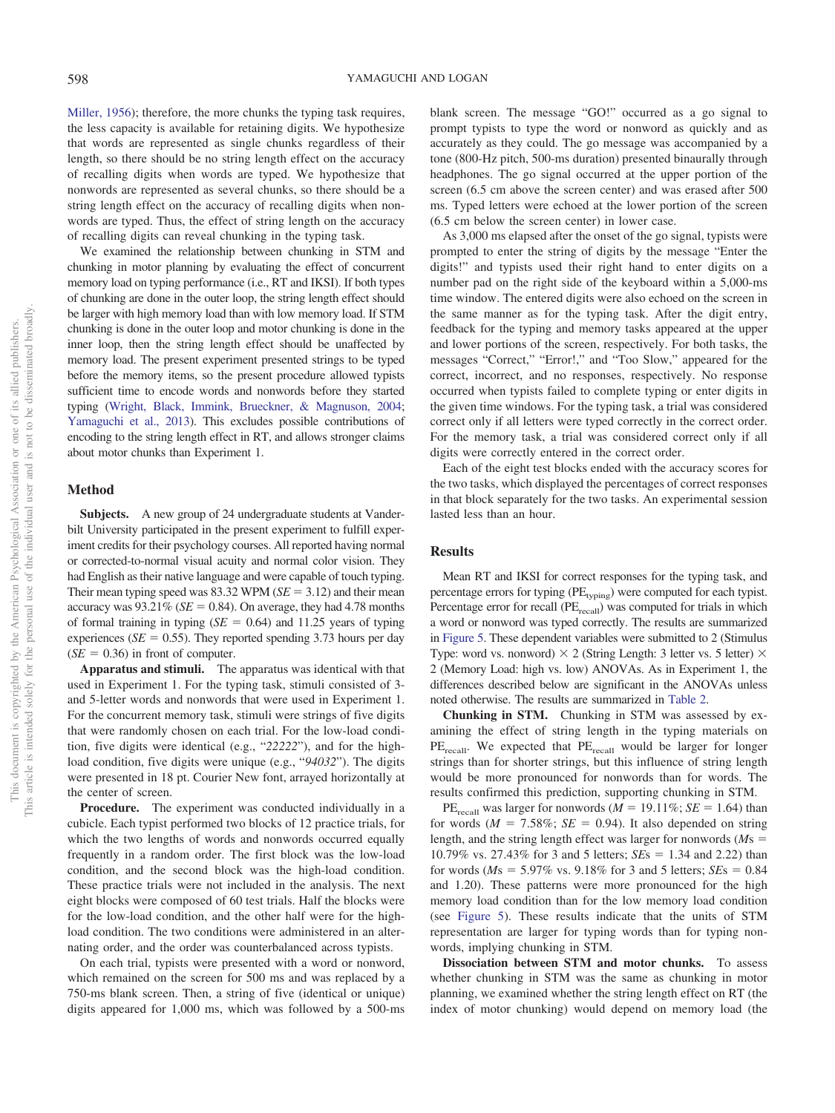[Miller, 1956\)](#page-16-8); therefore, the more chunks the typing task requires, the less capacity is available for retaining digits. We hypothesize that words are represented as single chunks regardless of their length, so there should be no string length effect on the accuracy of recalling digits when words are typed. We hypothesize that nonwords are represented as several chunks, so there should be a string length effect on the accuracy of recalling digits when nonwords are typed. Thus, the effect of string length on the accuracy of recalling digits can reveal chunking in the typing task.

We examined the relationship between chunking in STM and chunking in motor planning by evaluating the effect of concurrent memory load on typing performance (i.e., RT and IKSI). If both types of chunking are done in the outer loop, the string length effect should be larger with high memory load than with low memory load. If STM chunking is done in the outer loop and motor chunking is done in the inner loop, then the string length effect should be unaffected by memory load. The present experiment presented strings to be typed before the memory items, so the present procedure allowed typists sufficient time to encode words and nonwords before they started typing [\(Wright, Black, Immink, Brueckner, & Magnuson, 2004;](#page-17-25) [Yamaguchi et al., 2013\)](#page-17-4). This excludes possible contributions of encoding to the string length effect in RT, and allows stronger claims about motor chunks than Experiment 1.

### **Method**

Subjects. A new group of 24 undergraduate students at Vanderbilt University participated in the present experiment to fulfill experiment credits for their psychology courses. All reported having normal or corrected-to-normal visual acuity and normal color vision. They had English as their native language and were capable of touch typing. Their mean typing speed was 83.32 WPM ( $SE = 3.12$ ) and their mean accuracy was  $93.21\%$  (*SE* = 0.84). On average, they had 4.78 months of formal training in typing  $(SE = 0.64)$  and 11.25 years of typing experiences ( $SE = 0.55$ ). They reported spending 3.73 hours per day  $(SE = 0.36)$  in front of computer.

**Apparatus and stimuli.** The apparatus was identical with that used in Experiment 1. For the typing task, stimuli consisted of 3 and 5-letter words and nonwords that were used in Experiment 1. For the concurrent memory task, stimuli were strings of five digits that were randomly chosen on each trial. For the low-load condition, five digits were identical (e.g., "*22222*"), and for the highload condition, five digits were unique (e.g., "*94032*"). The digits were presented in 18 pt. Courier New font, arrayed horizontally at the center of screen.

**Procedure.** The experiment was conducted individually in a cubicle. Each typist performed two blocks of 12 practice trials, for which the two lengths of words and nonwords occurred equally frequently in a random order. The first block was the low-load condition, and the second block was the high-load condition. These practice trials were not included in the analysis. The next eight blocks were composed of 60 test trials. Half the blocks were for the low-load condition, and the other half were for the highload condition. The two conditions were administered in an alternating order, and the order was counterbalanced across typists.

On each trial, typists were presented with a word or nonword, which remained on the screen for 500 ms and was replaced by a 750-ms blank screen. Then, a string of five (identical or unique) digits appeared for 1,000 ms, which was followed by a 500-ms

blank screen. The message "GO!" occurred as a go signal to prompt typists to type the word or nonword as quickly and as accurately as they could. The go message was accompanied by a tone (800-Hz pitch, 500-ms duration) presented binaurally through headphones. The go signal occurred at the upper portion of the screen (6.5 cm above the screen center) and was erased after 500 ms. Typed letters were echoed at the lower portion of the screen (6.5 cm below the screen center) in lower case.

As 3,000 ms elapsed after the onset of the go signal, typists were prompted to enter the string of digits by the message "Enter the digits!" and typists used their right hand to enter digits on a number pad on the right side of the keyboard within a 5,000-ms time window. The entered digits were also echoed on the screen in the same manner as for the typing task. After the digit entry, feedback for the typing and memory tasks appeared at the upper and lower portions of the screen, respectively. For both tasks, the messages "Correct," "Error!," and "Too Slow," appeared for the correct, incorrect, and no responses, respectively. No response occurred when typists failed to complete typing or enter digits in the given time windows. For the typing task, a trial was considered correct only if all letters were typed correctly in the correct order. For the memory task, a trial was considered correct only if all digits were correctly entered in the correct order.

Each of the eight test blocks ended with the accuracy scores for the two tasks, which displayed the percentages of correct responses in that block separately for the two tasks. An experimental session lasted less than an hour.

### **Results**

Mean RT and IKSI for correct responses for the typing task, and percentage errors for typing (PE<sub>typing</sub>) were computed for each typist. Percentage error for recall (PE<sub>recall</sub>) was computed for trials in which a word or nonword was typed correctly. The results are summarized in [Figure 5.](#page-7-0) These dependent variables were submitted to 2 (Stimulus Type: word vs. nonword)  $\times$  2 (String Length: 3 letter vs. 5 letter)  $\times$ 2 (Memory Load: high vs. low) ANOVAs. As in Experiment 1, the differences described below are significant in the ANOVAs unless noted otherwise. The results are summarized in [Table 2.](#page-8-0)

**Chunking in STM.** Chunking in STM was assessed by examining the effect of string length in the typing materials on PE<sub>recall</sub>. We expected that PE<sub>recall</sub> would be larger for longer strings than for shorter strings, but this influence of string length would be more pronounced for nonwords than for words. The results confirmed this prediction, supporting chunking in STM.

 $PE_{\text{recall}}$  was larger for nonwords ( $M = 19.11\%$ ;  $SE = 1.64$ ) than for words ( $M = 7.58\%$ ;  $SE = 0.94$ ). It also depended on string length, and the string length effect was larger for nonwords (*M*s 10.79% vs. 27.43% for 3 and 5 letters; *SE*s 1.34 and 2.22) than for words ( $Ms = 5.97\%$  vs. 9.18% for 3 and 5 letters;  $SEs = 0.84$ and 1.20). These patterns were more pronounced for the high memory load condition than for the low memory load condition (see [Figure 5\)](#page-7-0). These results indicate that the units of STM representation are larger for typing words than for typing nonwords, implying chunking in STM.

**Dissociation between STM and motor chunks.** To assess whether chunking in STM was the same as chunking in motor planning, we examined whether the string length effect on RT (the index of motor chunking) would depend on memory load (the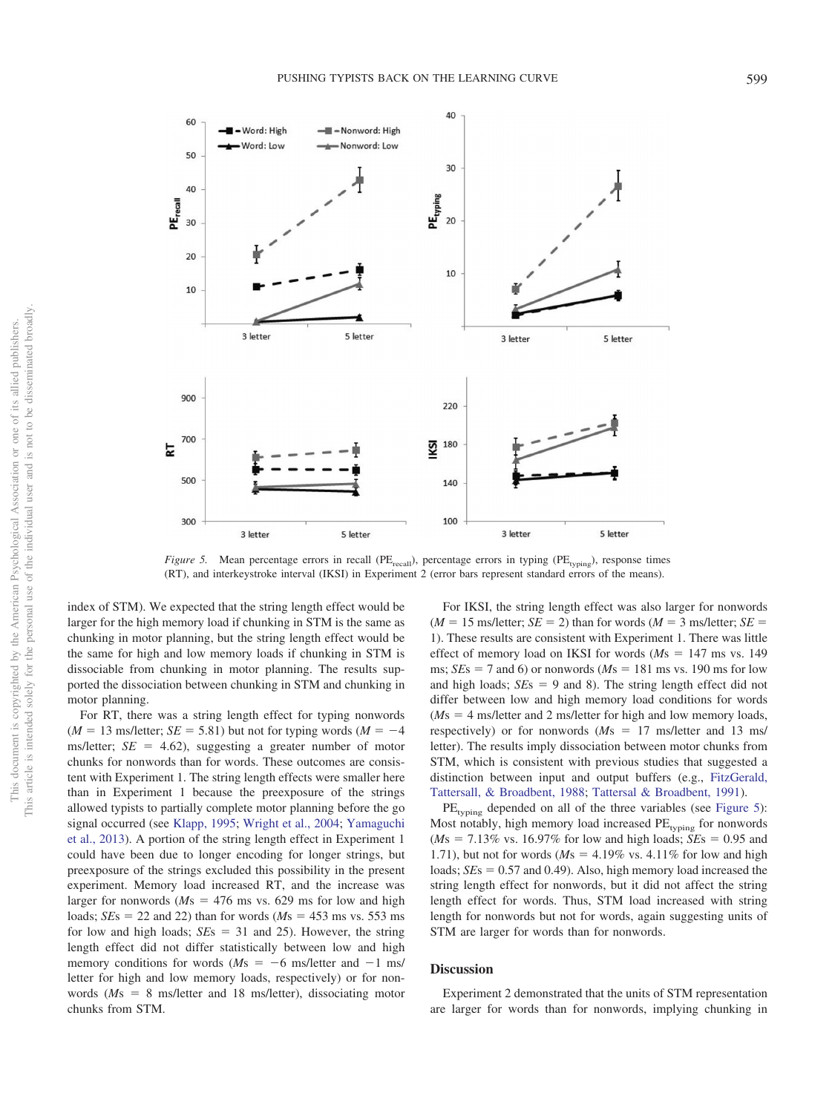

<span id="page-7-0"></span>*Figure 5.* Mean percentage errors in recall (PE<sub>recall</sub>), percentage errors in typing (PE<sub>typing</sub>), response times (RT), and interkeystroke interval (IKSI) in Experiment 2 (error bars represent standard errors of the means).

index of STM). We expected that the string length effect would be larger for the high memory load if chunking in STM is the same as chunking in motor planning, but the string length effect would be the same for high and low memory loads if chunking in STM is dissociable from chunking in motor planning. The results supported the dissociation between chunking in STM and chunking in motor planning.

For RT, there was a string length effect for typing nonwords  $(M = 13 \text{ ms/letter}; SE = 5.81)$  but not for typing words  $(M = -4$ ms/letter;  $SE = 4.62$ ), suggesting a greater number of motor chunks for nonwords than for words. These outcomes are consistent with Experiment 1. The string length effects were smaller here than in Experiment 1 because the preexposure of the strings allowed typists to partially complete motor planning before the go signal occurred (see [Klapp, 1995;](#page-16-27) [Wright et al., 2004;](#page-17-25) [Yamaguchi](#page-17-4) [et al., 2013\)](#page-17-4). A portion of the string length effect in Experiment 1 could have been due to longer encoding for longer strings, but preexposure of the strings excluded this possibility in the present experiment. Memory load increased RT, and the increase was larger for nonwords ( $Ms = 476$  ms vs. 629 ms for low and high loads;  $SE_s = 22$  and 22) than for words ( $Ms = 453$  ms vs. 553 ms for low and high loads;  $SEs = 31$  and 25). However, the string length effect did not differ statistically between low and high memory conditions for words ( $M$ s =  $-6$  ms/letter and  $-1$  ms/ letter for high and low memory loads, respectively) or for nonwords  $(Ms = 8 \text{ ms/letter}$  and 18 ms/letter), dissociating motor chunks from STM.

For IKSI, the string length effect was also larger for nonwords  $(M = 15 \text{ ms/letter}; SE = 2)$  than for words  $(M = 3 \text{ ms/letter}; SE = 1)$ 1). These results are consistent with Experiment 1. There was little effect of memory load on IKSI for words  $(Ms = 147 \text{ ms vs. } 149)$ ms;  $SEs = 7$  and 6) or nonwords ( $Ms = 181$  ms vs. 190 ms for low and high loads;  $SEs = 9$  and 8). The string length effect did not differ between low and high memory load conditions for words  $(Ms = 4 \text{ ms/letter}$  and 2 ms/letter for high and low memory loads, respectively) or for nonwords  $(Ms = 17 \text{ ms/letter and } 13 \text{ ms/}$ letter). The results imply dissociation between motor chunks from STM, which is consistent with previous studies that suggested a distinction between input and output buffers (e.g., [FitzGerald,](#page-16-31) [Tattersall, & Broadbent, 1988;](#page-16-31) [Tattersal & Broadbent, 1991\)](#page-17-26).

 $PE_{\text{typing}}$  depended on all of the three variables (see [Figure 5\)](#page-7-0): Most notably, high memory load increased  $PE_{\text{typing}}$  for nonwords  $(Ms = 7.13\%$  vs. 16.97% for low and high loads;  $SEs = 0.95$  and 1.71), but not for words ( $Ms = 4.19\%$  vs. 4.11% for low and high loads;  $SEs = 0.57$  and 0.49). Also, high memory load increased the string length effect for nonwords, but it did not affect the string length effect for words. Thus, STM load increased with string length for nonwords but not for words, again suggesting units of STM are larger for words than for nonwords.

### **Discussion**

Experiment 2 demonstrated that the units of STM representation are larger for words than for nonwords, implying chunking in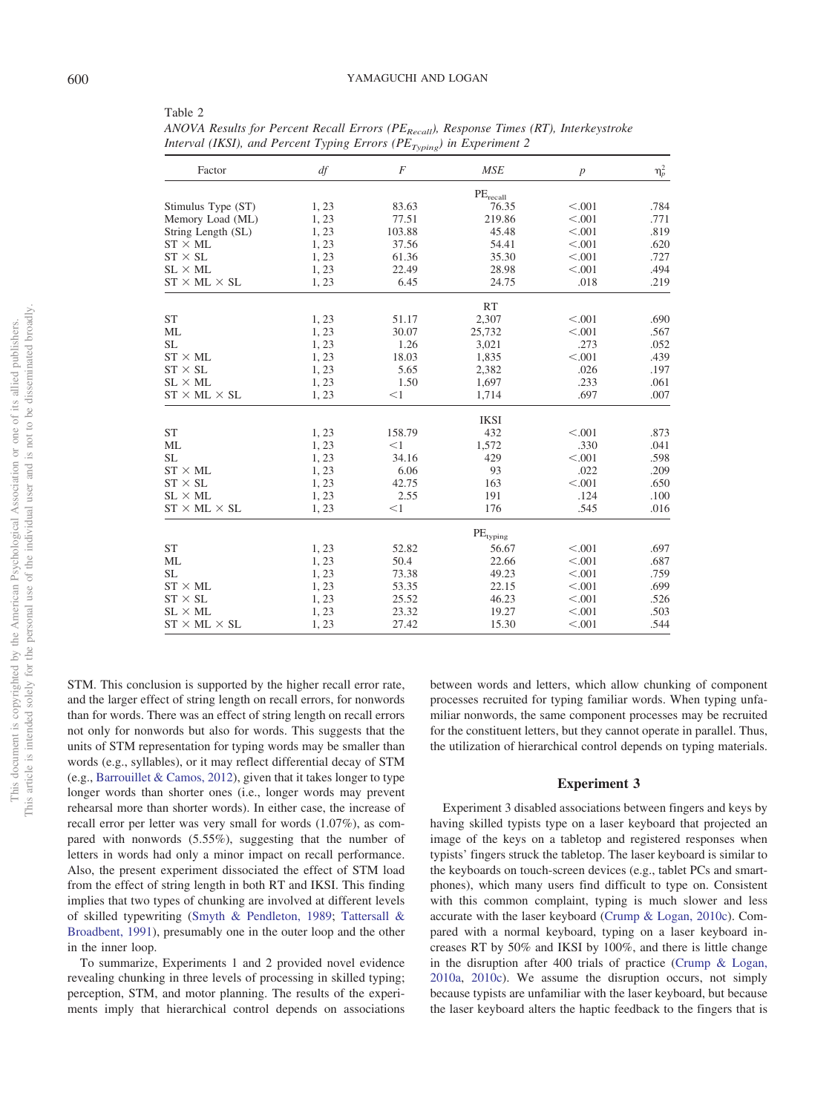<span id="page-8-0"></span>Table 2

| Factor                   | df    | F      | <b>MSE</b>               | p       | $\eta_p^2$ |
|--------------------------|-------|--------|--------------------------|---------|------------|
|                          |       |        | $PE_{\text{recall}}$     |         |            |
| Stimulus Type (ST)       | 1, 23 | 83.63  | 76.35                    | < 0.001 | .784       |
| Memory Load (ML)         | 1, 23 | 77.51  | 219.86                   | < 0.001 | .771       |
| String Length (SL)       | 1, 23 | 103.88 | 45.48                    | < 0.001 | .819       |
| $ST \times ML$           | 1, 23 | 37.56  | 54.41                    | < 0.001 | .620       |
| $ST \times SL$           | 1, 23 | 61.36  | 35.30                    | < 0.001 | .727       |
| $SL \times ML$           | 1, 23 | 22.49  | 28.98                    | < 0.001 | .494       |
| $ST \times ML \times SL$ | 1, 23 | 6.45   | 24.75                    | .018    | .219       |
|                          |       |        | <b>RT</b>                |         |            |
| <b>ST</b>                | 1, 23 | 51.17  | 2,307                    | < 0.001 | .690       |
| <b>ML</b>                | 1, 23 | 30.07  | 25,732                   | < .001  | .567       |
| <b>SL</b>                | 1, 23 | 1.26   | 3,021                    | .273    | .052       |
| $ST \times ML$           | 1, 23 | 18.03  | 1,835                    | < 0.001 | .439       |
| $ST \times SL$           | 1, 23 | 5.65   | 2,382                    | .026    | .197       |
| $SL \times ML$           | 1, 23 | 1.50   | 1,697                    | .233    | .061       |
| $ST \times ML \times SL$ | 1, 23 | $<$ 1  | 1,714                    | .697    | .007       |
|                          |       |        | <b>IKSI</b>              |         |            |
| <b>ST</b>                | 1, 23 | 158.79 | 432                      | < .001  | .873       |
| ML                       | 1, 23 | $<$ 1  | 1,572                    | .330    | .041       |
| <b>SL</b>                | 1, 23 | 34.16  | 429                      | < 0.001 | .598       |
| $ST \times ML$           | 1, 23 | 6.06   | 93                       | .022    | .209       |
| $ST \times SL$           | 1, 23 | 42.75  | 163                      | < 0.001 | .650       |
| $SL \times ML$           | 1, 23 | 2.55   | 191                      | .124    | .100       |
| $ST \times ML \times SL$ | 1, 23 | $<$ 1  | 176                      | .545    | .016       |
|                          |       |        | $\text{PE}_{\rm typing}$ |         |            |
| <b>ST</b>                | 1, 23 | 52.82  | 56.67                    | < 0.001 | .697       |
| ML                       | 1, 23 | 50.4   | 22.66                    | < 0.001 | .687       |
| <b>SL</b>                | 1, 23 | 73.38  | 49.23                    | < 0.001 | .759       |
| $ST \times ML$           | 1, 23 | 53.35  | 22.15                    | < 0.001 | .699       |
| $ST \times SL$           | 1, 23 | 25.52  | 46.23                    | < 0.001 | .526       |
|                          |       |        |                          |         |            |
| $SL \times ML$           | 1, 23 | 23.32  | 19.27                    | < 0.001 | .503       |

*ANOVA Results for Percent Recall Errors (PE<sub>Recall</sub>), Response Times (RT), Interkeystroke Interval (IKSI), and Percent Typing Errors (PE<sub>Typing</sub>) in Experiment 2* 

STM. This conclusion is supported by the higher recall error rate, and the larger effect of string length on recall errors, for nonwords than for words. There was an effect of string length on recall errors not only for nonwords but also for words. This suggests that the units of STM representation for typing words may be smaller than words (e.g., syllables), or it may reflect differential decay of STM (e.g., [Barrouillet & Camos, 2012\)](#page-15-7), given that it takes longer to type longer words than shorter ones (i.e., longer words may prevent rehearsal more than shorter words). In either case, the increase of recall error per letter was very small for words (1.07%), as compared with nonwords (5.55%), suggesting that the number of letters in words had only a minor impact on recall performance. Also, the present experiment dissociated the effect of STM load from the effect of string length in both RT and IKSI. This finding implies that two types of chunking are involved at different levels of skilled typewriting [\(Smyth & Pendleton, 1989;](#page-17-27) [Tattersall &](#page-17-26) [Broadbent, 1991\)](#page-17-26), presumably one in the outer loop and the other in the inner loop.

To summarize, Experiments 1 and 2 provided novel evidence revealing chunking in three levels of processing in skilled typing; perception, STM, and motor planning. The results of the experiments imply that hierarchical control depends on associations between words and letters, which allow chunking of component processes recruited for typing familiar words. When typing unfamiliar nonwords, the same component processes may be recruited for the constituent letters, but they cannot operate in parallel. Thus, the utilization of hierarchical control depends on typing materials.

### **Experiment 3**

Experiment 3 disabled associations between fingers and keys by having skilled typists type on a laser keyboard that projected an image of the keys on a tabletop and registered responses when typists' fingers struck the tabletop. The laser keyboard is similar to the keyboards on touch-screen devices (e.g., tablet PCs and smartphones), which many users find difficult to type on. Consistent with this common complaint, typing is much slower and less accurate with the laser keyboard [\(Crump & Logan, 2010c\)](#page-16-13). Compared with a normal keyboard, typing on a laser keyboard increases RT by 50% and IKSI by 100%, and there is little change in the disruption after 400 trials of practice [\(Crump & Logan,](#page-16-11) [2010a,](#page-16-11) [2010c\)](#page-16-13). We assume the disruption occurs, not simply because typists are unfamiliar with the laser keyboard, but because the laser keyboard alters the haptic feedback to the fingers that is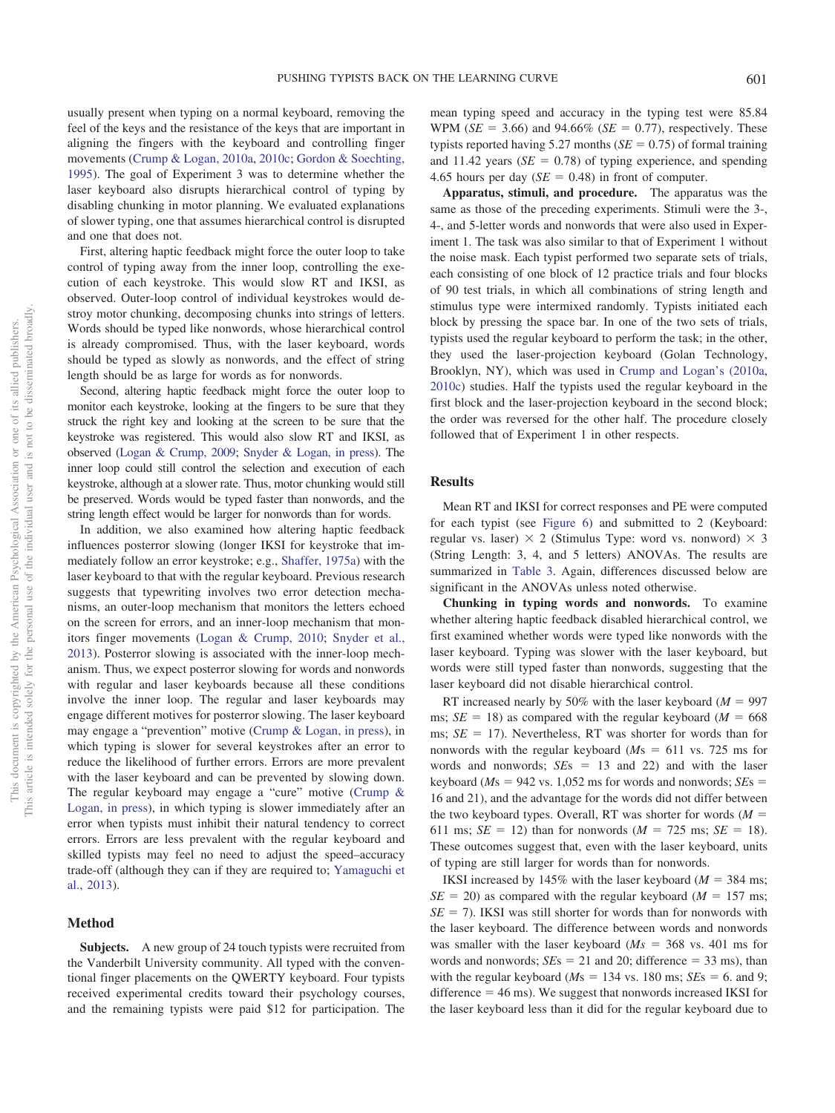usually present when typing on a normal keyboard, removing the feel of the keys and the resistance of the keys that are important in aligning the fingers with the keyboard and controlling finger movements [\(Crump & Logan, 2010a,](#page-16-11) [2010c;](#page-16-13) [Gordon & Soechting,](#page-16-23) [1995\)](#page-16-23). The goal of Experiment 3 was to determine whether the laser keyboard also disrupts hierarchical control of typing by disabling chunking in motor planning. We evaluated explanations of slower typing, one that assumes hierarchical control is disrupted and one that does not.

First, altering haptic feedback might force the outer loop to take control of typing away from the inner loop, controlling the execution of each keystroke. This would slow RT and IKSI, as observed. Outer-loop control of individual keystrokes would destroy motor chunking, decomposing chunks into strings of letters. Words should be typed like nonwords, whose hierarchical control is already compromised. Thus, with the laser keyboard, words should be typed as slowly as nonwords, and the effect of string length should be as large for words as for nonwords.

Second, altering haptic feedback might force the outer loop to monitor each keystroke, looking at the fingers to be sure that they struck the right key and looking at the screen to be sure that the keystroke was registered. This would also slow RT and IKSI, as observed [\(Logan & Crump, 2009;](#page-16-16) [Snyder & Logan, in press\)](#page-17-8). The inner loop could still control the selection and execution of each keystroke, although at a slower rate. Thus, motor chunking would still be preserved. Words would be typed faster than nonwords, and the string length effect would be larger for nonwords than for words.

In addition, we also examined how altering haptic feedback influences posterror slowing (longer IKSI for keystroke that immediately follow an error keystroke; e.g., [Shaffer, 1975a\)](#page-17-3) with the laser keyboard to that with the regular keyboard. Previous research suggests that typewriting involves two error detection mechanisms, an outer-loop mechanism that monitors the letters echoed on the screen for errors, and an inner-loop mechanism that monitors finger movements [\(Logan & Crump, 2010;](#page-16-10) [Snyder et al.,](#page-17-24) [2013\)](#page-17-24). Posterror slowing is associated with the inner-loop mechanism. Thus, we expect posterror slowing for words and nonwords with regular and laser keyboards because all these conditions involve the inner loop. The regular and laser keyboards may engage different motives for posterror slowing. The laser keyboard may engage a "prevention" motive [\(Crump & Logan, in press\)](#page-16-32), in which typing is slower for several keystrokes after an error to reduce the likelihood of further errors. Errors are more prevalent with the laser keyboard and can be prevented by slowing down. The regular keyboard may engage a "cure" motive [\(Crump &](#page-16-32) [Logan, in press\)](#page-16-32), in which typing is slower immediately after an error when typists must inhibit their natural tendency to correct errors. Errors are less prevalent with the regular keyboard and skilled typists may feel no need to adjust the speed–accuracy trade-off (although they can if they are required to; [Yamaguchi et](#page-17-4) [al., 2013\)](#page-17-4).

#### **Method**

**Subjects.** A new group of 24 touch typists were recruited from the Vanderbilt University community. All typed with the conventional finger placements on the QWERTY keyboard. Four typists received experimental credits toward their psychology courses, and the remaining typists were paid \$12 for participation. The

mean typing speed and accuracy in the typing test were 85.84 WPM ( $SE = 3.66$ ) and 94.66% ( $SE = 0.77$ ), respectively. These typists reported having 5.27 months ( $SE = 0.75$ ) of formal training and 11.42 years ( $SE = 0.78$ ) of typing experience, and spending 4.65 hours per day  $(SE = 0.48)$  in front of computer.

**Apparatus, stimuli, and procedure.** The apparatus was the same as those of the preceding experiments. Stimuli were the 3-, 4-, and 5-letter words and nonwords that were also used in Experiment 1. The task was also similar to that of Experiment 1 without the noise mask. Each typist performed two separate sets of trials, each consisting of one block of 12 practice trials and four blocks of 90 test trials, in which all combinations of string length and stimulus type were intermixed randomly. Typists initiated each block by pressing the space bar. In one of the two sets of trials, typists used the regular keyboard to perform the task; in the other, they used the laser-projection keyboard (Golan Technology, Brooklyn, NY), which was used in [Crump and Logan's \(2010a,](#page-16-11) [2010c\)](#page-16-13) studies. Half the typists used the regular keyboard in the first block and the laser-projection keyboard in the second block; the order was reversed for the other half. The procedure closely followed that of Experiment 1 in other respects.

#### **Results**

Mean RT and IKSI for correct responses and PE were computed for each typist (see [Figure 6\)](#page-10-0) and submitted to 2 (Keyboard: regular vs. laser)  $\times$  2 (Stimulus Type: word vs. nonword)  $\times$  3 (String Length: 3, 4, and 5 letters) ANOVAs. The results are summarized in [Table 3.](#page-11-0) Again, differences discussed below are significant in the ANOVAs unless noted otherwise.

**Chunking in typing words and nonwords.** To examine whether altering haptic feedback disabled hierarchical control, we first examined whether words were typed like nonwords with the laser keyboard. Typing was slower with the laser keyboard, but words were still typed faster than nonwords, suggesting that the laser keyboard did not disable hierarchical control.

RT increased nearly by 50% with the laser keyboard ( $M = 997$ ms;  $SE = 18$ ) as compared with the regular keyboard ( $M = 668$ ms;  $SE = 17$ ). Nevertheless, RT was shorter for words than for nonwords with the regular keyboard ( $Ms = 611$  vs. 725 ms for words and nonwords;  $SEs = 13$  and 22) and with the laser keyboard ( $M$ s = 942 vs. 1,052 ms for words and nonwords;  $SE$ s = 16 and 21), and the advantage for the words did not differ between the two keyboard types. Overall, RT was shorter for words  $(M =$ 611 ms;  $SE = 12$ ) than for nonwords ( $M = 725$  ms;  $SE = 18$ ). These outcomes suggest that, even with the laser keyboard, units of typing are still larger for words than for nonwords.

IKSI increased by 145% with the laser keyboard ( $M = 384$  ms;  $SE = 20$ ) as compared with the regular keyboard ( $M = 157$  ms;  $SE = 7$ ). IKSI was still shorter for words than for nonwords with the laser keyboard. The difference between words and nonwords was smaller with the laser keyboard ( $Ms = 368$  vs. 401 ms for words and nonwords;  $SEs = 21$  and 20; difference  $= 33$  ms), than with the regular keyboard ( $Ms = 134$  vs. 180 ms;  $SEs = 6$ . and 9; difference  $= 46$  ms). We suggest that nonwords increased IKSI for the laser keyboard less than it did for the regular keyboard due to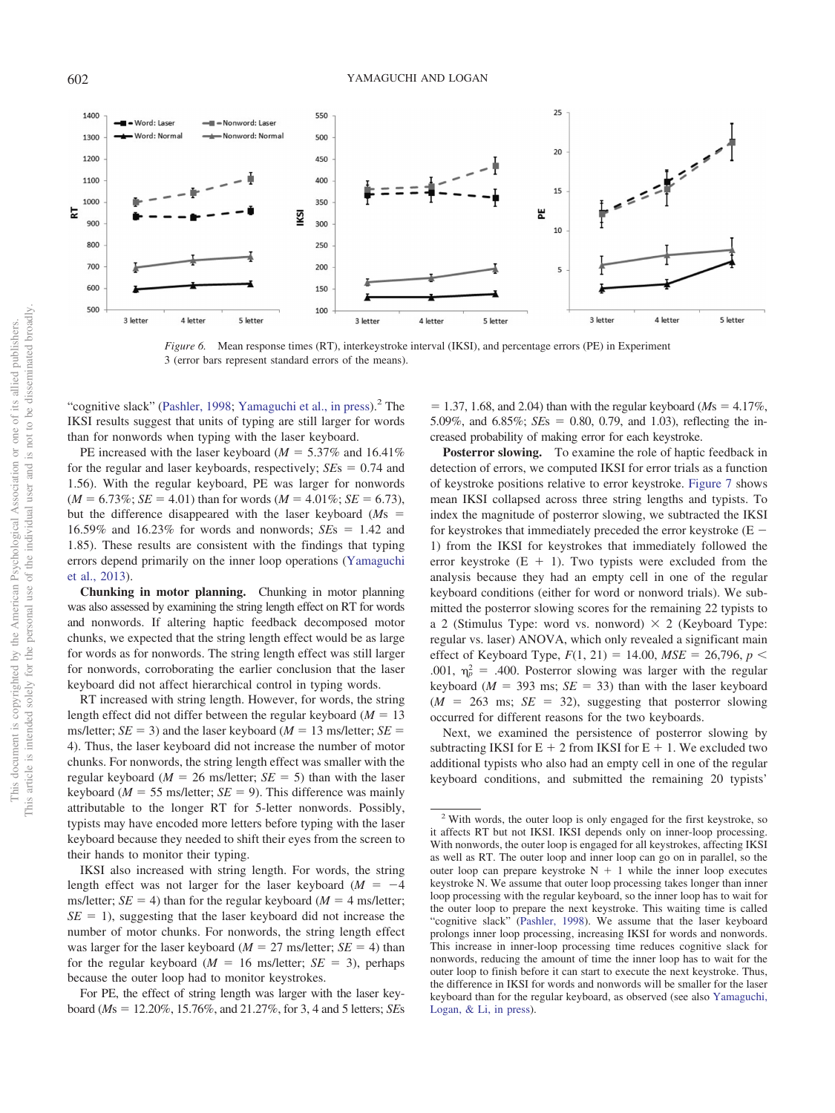

<span id="page-10-0"></span>*Figure 6.* Mean response times (RT), interkeystroke interval (IKSI), and percentage errors (PE) in Experiment 3 (error bars represent standard errors of the means).

"cognitive slack" [\(Pashler, 1998;](#page-17-28) [Yamaguchi et al., in press\)](#page-17-9).<sup>2</sup> The IKSI results suggest that units of typing are still larger for words than for nonwords when typing with the laser keyboard.

PE increased with the laser keyboard ( $M = 5.37\%$  and 16.41%) for the regular and laser keyboards, respectively;  $SEs = 0.74$  and 1.56). With the regular keyboard, PE was larger for nonwords  $(M = 6.73\%; SE = 4.01)$  than for words  $(M = 4.01\%; SE = 6.73)$ , but the difference disappeared with the laser keyboard (*M*s 16.59% and 16.23% for words and nonwords;  $SEs = 1.42$  and 1.85). These results are consistent with the findings that typing errors depend primarily on the inner loop operations [\(Yamaguchi](#page-17-4) [et al., 2013\)](#page-17-4).

**Chunking in motor planning.** Chunking in motor planning was also assessed by examining the string length effect on RT for words and nonwords. If altering haptic feedback decomposed motor chunks, we expected that the string length effect would be as large for words as for nonwords. The string length effect was still larger for nonwords, corroborating the earlier conclusion that the laser keyboard did not affect hierarchical control in typing words.

RT increased with string length. However, for words, the string length effect did not differ between the regular keyboard  $(M = 13$ ms/letter;  $SE = 3$ ) and the laser keyboard ( $M = 13$  ms/letter;  $SE =$ 4). Thus, the laser keyboard did not increase the number of motor chunks. For nonwords, the string length effect was smaller with the regular keyboard ( $M = 26$  ms/letter;  $SE = 5$ ) than with the laser keyboard ( $M = 55$  ms/letter;  $SE = 9$ ). This difference was mainly attributable to the longer RT for 5-letter nonwords. Possibly, typists may have encoded more letters before typing with the laser keyboard because they needed to shift their eyes from the screen to their hands to monitor their typing.

IKSI also increased with string length. For words, the string length effect was not larger for the laser keyboard  $(M = -4)$ ms/letter;  $SE = 4$ ) than for the regular keyboard ( $M = 4$  ms/letter;  $SE = 1$ ), suggesting that the laser keyboard did not increase the number of motor chunks. For nonwords, the string length effect was larger for the laser keyboard ( $M = 27$  ms/letter;  $SE = 4$ ) than for the regular keyboard ( $M = 16$  ms/letter;  $SE = 3$ ), perhaps because the outer loop had to monitor keystrokes.

For PE, the effect of string length was larger with the laser keyboard (*M*s 12.20%, 15.76%, and 21.27%, for 3, 4 and 5 letters; *SE*s  $= 1.37, 1.68,$  and 2.04) than with the regular keyboard ( $Ms = 4.17\%$ , 5.09%, and  $6.85\%$ ; *SEs* = 0.80, 0.79, and 1.03), reflecting the increased probability of making error for each keystroke.

**Posterror slowing.** To examine the role of haptic feedback in detection of errors, we computed IKSI for error trials as a function of keystroke positions relative to error keystroke. [Figure 7](#page-12-0) shows mean IKSI collapsed across three string lengths and typists. To index the magnitude of posterror slowing, we subtracted the IKSI for keystrokes that immediately preceded the error keystroke  $(E -$ 1) from the IKSI for keystrokes that immediately followed the error keystroke  $(E + 1)$ . Two typists were excluded from the analysis because they had an empty cell in one of the regular keyboard conditions (either for word or nonword trials). We submitted the posterror slowing scores for the remaining 22 typists to a 2 (Stimulus Type: word vs. nonword)  $\times$  2 (Keyboard Type: regular vs. laser) ANOVA, which only revealed a significant main effect of Keyboard Type,  $F(1, 21) = 14.00$ ,  $MSE = 26,796$ ,  $p <$ .001,  $\eta_p^2$  = .400. Posterror slowing was larger with the regular keyboard ( $M = 393$  ms;  $SE = 33$ ) than with the laser keyboard  $(M = 263 \text{ ms}; \ \Sigma = 32)$ , suggesting that posterror slowing occurred for different reasons for the two keyboards.

Next, we examined the persistence of posterror slowing by subtracting IKSI for  $E + 2$  from IKSI for  $E + 1$ . We excluded two additional typists who also had an empty cell in one of the regular keyboard conditions, and submitted the remaining 20 typists'

<sup>2</sup> With words, the outer loop is only engaged for the first keystroke, so it affects RT but not IKSI. IKSI depends only on inner-loop processing. With nonwords, the outer loop is engaged for all keystrokes, affecting IKSI as well as RT. The outer loop and inner loop can go on in parallel, so the outer loop can prepare keystroke  $N + 1$  while the inner loop executes keystroke N. We assume that outer loop processing takes longer than inner loop processing with the regular keyboard, so the inner loop has to wait for the outer loop to prepare the next keystroke. This waiting time is called "cognitive slack" [\(Pashler, 1998\)](#page-17-28). We assume that the laser keyboard prolongs inner loop processing, increasing IKSI for words and nonwords. This increase in inner-loop processing time reduces cognitive slack for nonwords, reducing the amount of time the inner loop has to wait for the outer loop to finish before it can start to execute the next keystroke. Thus, the difference in IKSI for words and nonwords will be smaller for the laser keyboard than for the regular keyboard, as observed (see also [Yamaguchi,](#page-17-9) [Logan, & Li, in press\)](#page-17-9).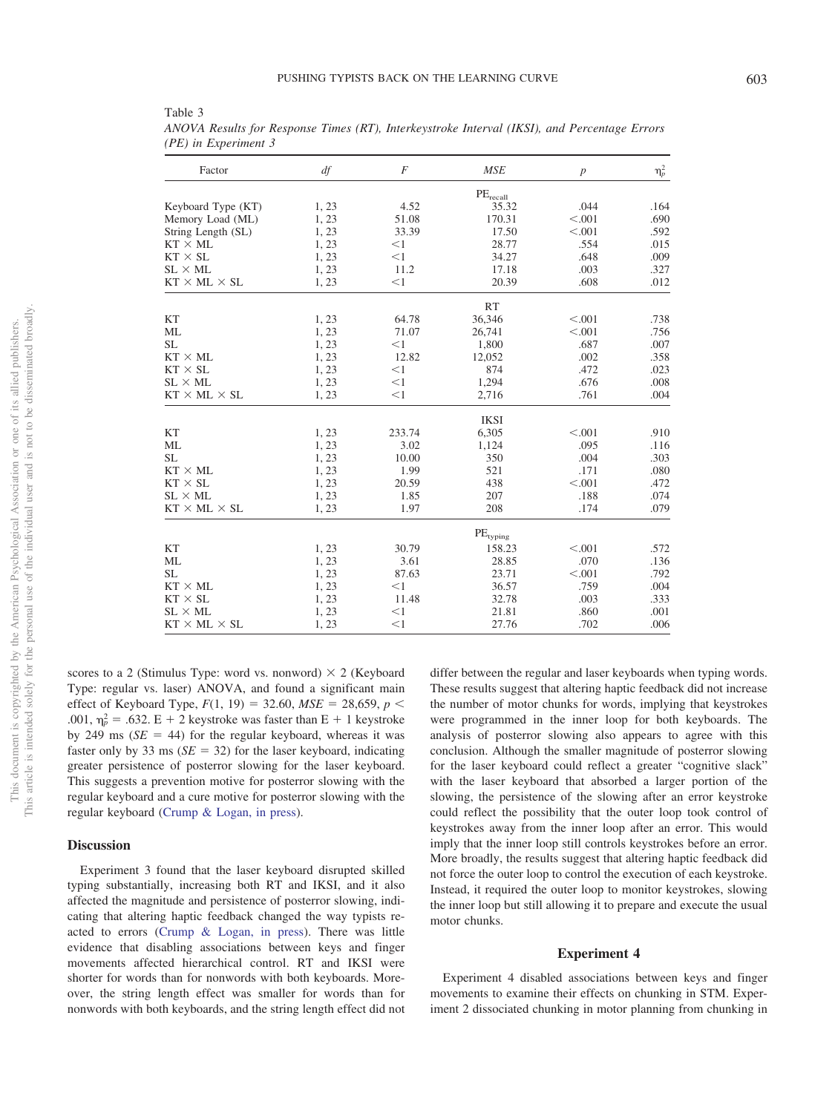| $(1 L)$ in Laperinicia 5 |       |                  |                             |                  |            |
|--------------------------|-------|------------------|-----------------------------|------------------|------------|
| Factor                   | df    | $\boldsymbol{F}$ | <b>MSE</b>                  | $\boldsymbol{p}$ | $\eta_p^2$ |
|                          |       |                  | $\text{PE}_{\text{recall}}$ |                  |            |
| Keyboard Type (KT)       | 1, 23 | 4.52             | 35.32                       | .044             | .164       |
| Memory Load (ML)         | 1, 23 | 51.08            | 170.31                      | < 0.001          | .690       |
| String Length (SL)       | 1, 23 | 33.39            | 17.50                       | < 0.001          | .592       |
| $KT \times ML$           | 1, 23 | $<$ 1            | 28.77                       | .554             | .015       |
| $KT \times SL$           | 1, 23 | <1               | 34.27                       | .648             | .009       |
| $SL \times ML$           | 1, 23 | 11.2             | 17.18                       | .003             | .327       |
| $KT \times ML \times SL$ | 1, 23 | $<$ 1            | 20.39                       | .608             | .012       |
|                          |       |                  | RT                          |                  |            |
| <b>KT</b>                | 1, 23 | 64.78            | 36,346                      | < 0.001          | .738       |
| ML                       | 1, 23 | 71.07            | 26,741                      | < 0.001          | .756       |
| <b>SL</b>                | 1, 23 | $<$ 1            | 1,800                       | .687             | .007       |
| $KT \times ML$           | 1, 23 | 12.82            | 12,052                      | .002             | .358       |
| $KT \times SL$           | 1, 23 | $<$ 1            | 874                         | .472             | .023       |
| $SL \times ML$           | 1, 23 | $<$ 1            | 1,294                       | .676             | .008       |
| $KT \times ML \times SL$ | 1, 23 | $<$ 1            | 2,716                       | .761             | .004       |
|                          |       |                  | <b>IKSI</b>                 |                  |            |
| <b>KT</b>                | 1, 23 | 233.74           | 6,305                       | < 0.001          | .910       |
| ML                       | 1, 23 | 3.02             | 1,124                       | .095             | .116       |
| <b>SL</b>                | 1, 23 | 10.00            | 350                         | .004             | .303       |
| $KT \times ML$           | 1, 23 | 1.99             | 521                         | .171             | .080       |
| $KT \times SL$           | 1, 23 | 20.59            | 438                         | < 0.001          | .472       |
| $SL \times ML$           | 1, 23 | 1.85             | 207                         | .188             | .074       |
| $KT \times ML \times SL$ | 1, 23 | 1.97             | 208                         | .174             | .079       |
|                          |       |                  | $\text{PE}_{\rm typing}$    |                  |            |
| <b>KT</b>                | 1, 23 | 30.79            | 158.23                      | < 0.001          | .572       |
| ML                       | 1, 23 | 3.61             | 28.85                       | .070             | .136       |
| <b>SL</b>                | 1, 23 | 87.63            | 23.71                       | < .001           | .792       |
| $KT \times ML$           | 1, 23 | <1               | 36.57                       | .759             | .004       |
| $KT \times SL$           | 1, 23 | 11.48            | 32.78                       | .003             | .333       |
| $SL \times ML$           | 1, 23 | $<$ 1            | 21.81                       | .860             | .001       |
| $KT \times ML \times SL$ | 1, 23 | <1               | 27.76                       | .702             | .006       |

<span id="page-11-0"></span>Table 3 *ANOVA Results for Response Times (RT), Interkeystroke Interval (IKSI), and Percentage Errors (PE) in Experiment 3*

scores to a 2 (Stimulus Type: word vs. nonword)  $\times$  2 (Keyboard Type: regular vs. laser) ANOVA, and found a significant main effect of Keyboard Type,  $F(1, 19) = 32.60$ ,  $MSE = 28,659$ ,  $p <$ .001,  $\eta_p^2$  = .632. E + 2 keystroke was faster than E + 1 keystroke by 249 ms  $(SE = 44)$  for the regular keyboard, whereas it was faster only by 33 ms ( $SE = 32$ ) for the laser keyboard, indicating greater persistence of posterror slowing for the laser keyboard. This suggests a prevention motive for posterror slowing with the regular keyboard and a cure motive for posterror slowing with the regular keyboard [\(Crump & Logan, in press\)](#page-16-32).

### **Discussion**

Experiment 3 found that the laser keyboard disrupted skilled typing substantially, increasing both RT and IKSI, and it also affected the magnitude and persistence of posterror slowing, indicating that altering haptic feedback changed the way typists reacted to errors [\(Crump & Logan, in press\)](#page-16-32). There was little evidence that disabling associations between keys and finger movements affected hierarchical control. RT and IKSI were shorter for words than for nonwords with both keyboards. Moreover, the string length effect was smaller for words than for nonwords with both keyboards, and the string length effect did not differ between the regular and laser keyboards when typing words. These results suggest that altering haptic feedback did not increase the number of motor chunks for words, implying that keystrokes were programmed in the inner loop for both keyboards. The analysis of posterror slowing also appears to agree with this conclusion. Although the smaller magnitude of posterror slowing for the laser keyboard could reflect a greater "cognitive slack" with the laser keyboard that absorbed a larger portion of the slowing, the persistence of the slowing after an error keystroke could reflect the possibility that the outer loop took control of keystrokes away from the inner loop after an error. This would imply that the inner loop still controls keystrokes before an error. More broadly, the results suggest that altering haptic feedback did not force the outer loop to control the execution of each keystroke. Instead, it required the outer loop to monitor keystrokes, slowing the inner loop but still allowing it to prepare and execute the usual motor chunks.

### **Experiment 4**

Experiment 4 disabled associations between keys and finger movements to examine their effects on chunking in STM. Experiment 2 dissociated chunking in motor planning from chunking in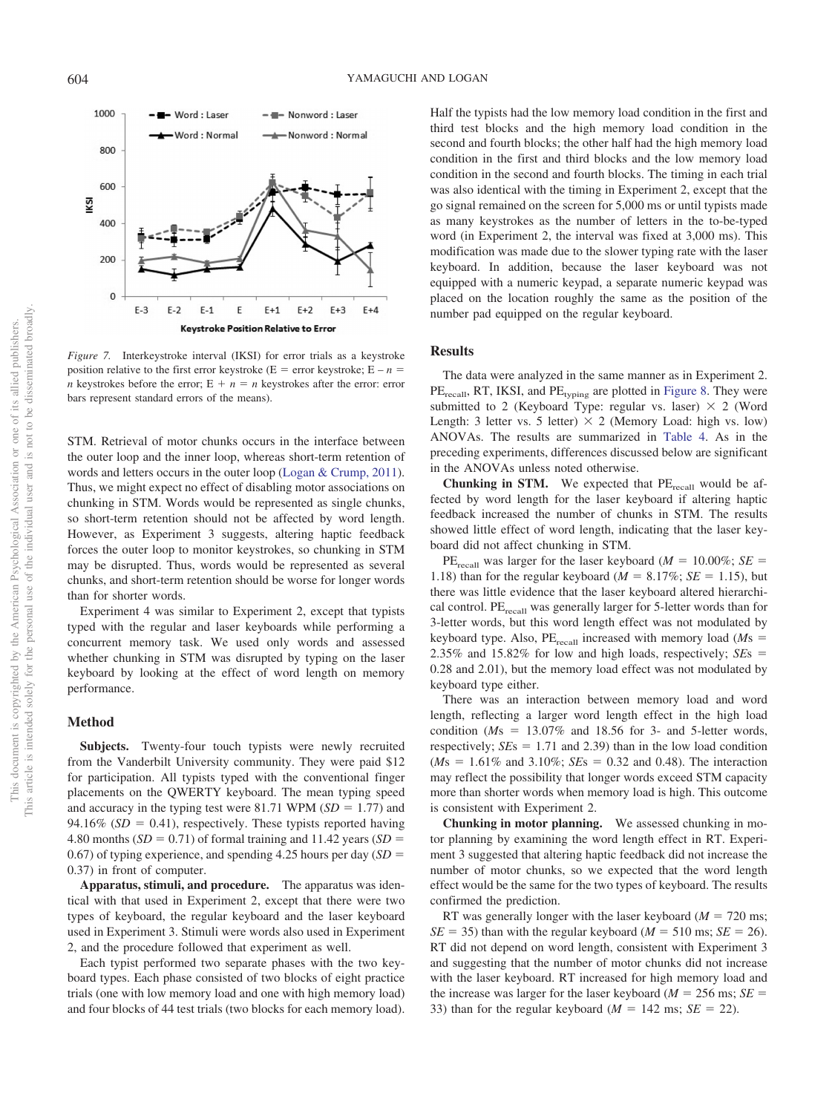

<span id="page-12-0"></span>*Figure 7.* Interkeystroke interval (IKSI) for error trials as a keystroke position relative to the first error keystroke ( $E =$  error keystroke;  $E - n =$ *n* keystrokes before the error;  $E + n = n$  keystrokes after the error: error bars represent standard errors of the means).

STM. Retrieval of motor chunks occurs in the interface between the outer loop and the inner loop, whereas short-term retention of words and letters occurs in the outer loop [\(Logan & Crump, 2011\)](#page-16-6). Thus, we might expect no effect of disabling motor associations on chunking in STM. Words would be represented as single chunks, so short-term retention should not be affected by word length. However, as Experiment 3 suggests, altering haptic feedback forces the outer loop to monitor keystrokes, so chunking in STM may be disrupted. Thus, words would be represented as several chunks, and short-term retention should be worse for longer words than for shorter words.

Experiment 4 was similar to Experiment 2, except that typists typed with the regular and laser keyboards while performing a concurrent memory task. We used only words and assessed whether chunking in STM was disrupted by typing on the laser keyboard by looking at the effect of word length on memory performance.

### **Method**

**Subjects.** Twenty-four touch typists were newly recruited from the Vanderbilt University community. They were paid \$12 for participation. All typists typed with the conventional finger placements on the QWERTY keyboard. The mean typing speed and accuracy in the typing test were 81.71 WPM  $(SD = 1.77)$  and 94.16% ( $SD = 0.41$ ), respectively. These typists reported having 4.80 months ( $SD = 0.71$ ) of formal training and 11.42 years ( $SD =$ 0.67) of typing experience, and spending 4.25 hours per day (*SD* 0.37) in front of computer.

**Apparatus, stimuli, and procedure.** The apparatus was identical with that used in Experiment 2, except that there were two types of keyboard, the regular keyboard and the laser keyboard used in Experiment 3. Stimuli were words also used in Experiment 2, and the procedure followed that experiment as well.

Each typist performed two separate phases with the two keyboard types. Each phase consisted of two blocks of eight practice trials (one with low memory load and one with high memory load) and four blocks of 44 test trials (two blocks for each memory load). Half the typists had the low memory load condition in the first and third test blocks and the high memory load condition in the second and fourth blocks; the other half had the high memory load condition in the first and third blocks and the low memory load condition in the second and fourth blocks. The timing in each trial was also identical with the timing in Experiment 2, except that the go signal remained on the screen for 5,000 ms or until typists made as many keystrokes as the number of letters in the to-be-typed word (in Experiment 2, the interval was fixed at 3,000 ms). This modification was made due to the slower typing rate with the laser keyboard. In addition, because the laser keyboard was not equipped with a numeric keypad, a separate numeric keypad was placed on the location roughly the same as the position of the number pad equipped on the regular keyboard.

### **Results**

The data were analyzed in the same manner as in Experiment 2.  $PE_{\text{recall}}$ , RT, IKSI, and  $PE_{\text{typing}}$  are plotted in [Figure 8.](#page-13-0) They were submitted to 2 (Keyboard Type: regular vs. laser)  $\times$  2 (Word Length: 3 letter vs. 5 letter)  $\times$  2 (Memory Load: high vs. low) ANOVAs. The results are summarized in [Table 4.](#page-14-0) As in the preceding experiments, differences discussed below are significant in the ANOVAs unless noted otherwise.

Chunking in STM. We expected that PE<sub>recall</sub> would be affected by word length for the laser keyboard if altering haptic feedback increased the number of chunks in STM. The results showed little effect of word length, indicating that the laser keyboard did not affect chunking in STM.

 $PE_{\text{recall}}$  was larger for the laser keyboard ( $M = 10.00\%$ ;  $SE =$ 1.18) than for the regular keyboard ( $M = 8.17\%$ ; *SE* = 1.15), but there was little evidence that the laser keyboard altered hierarchical control.  $PE_{recall}$  was generally larger for 5-letter words than for 3-letter words, but this word length effect was not modulated by keyboard type. Also,  $PE_{recall}$  increased with memory load ( $Ms =$ 2.35% and 15.82% for low and high loads, respectively; *SE*s 0.28 and 2.01), but the memory load effect was not modulated by keyboard type either.

There was an interaction between memory load and word length, reflecting a larger word length effect in the high load condition ( $Ms = 13.07\%$  and 18.56 for 3- and 5-letter words, respectively;  $SEs = 1.71$  and 2.39) than in the low load condition  $(Ms = 1.61\%$  and 3.10%; *SEs* = 0.32 and 0.48). The interaction may reflect the possibility that longer words exceed STM capacity more than shorter words when memory load is high. This outcome is consistent with Experiment 2.

**Chunking in motor planning.** We assessed chunking in motor planning by examining the word length effect in RT. Experiment 3 suggested that altering haptic feedback did not increase the number of motor chunks, so we expected that the word length effect would be the same for the two types of keyboard. The results confirmed the prediction.

RT was generally longer with the laser keyboard ( $M = 720$  ms;  $SE = 35$ ) than with the regular keyboard ( $M = 510$  ms;  $SE = 26$ ). RT did not depend on word length, consistent with Experiment 3 and suggesting that the number of motor chunks did not increase with the laser keyboard. RT increased for high memory load and the increase was larger for the laser keyboard ( $M = 256$  ms;  $SE =$ 33) than for the regular keyboard ( $M = 142$  ms;  $SE = 22$ ).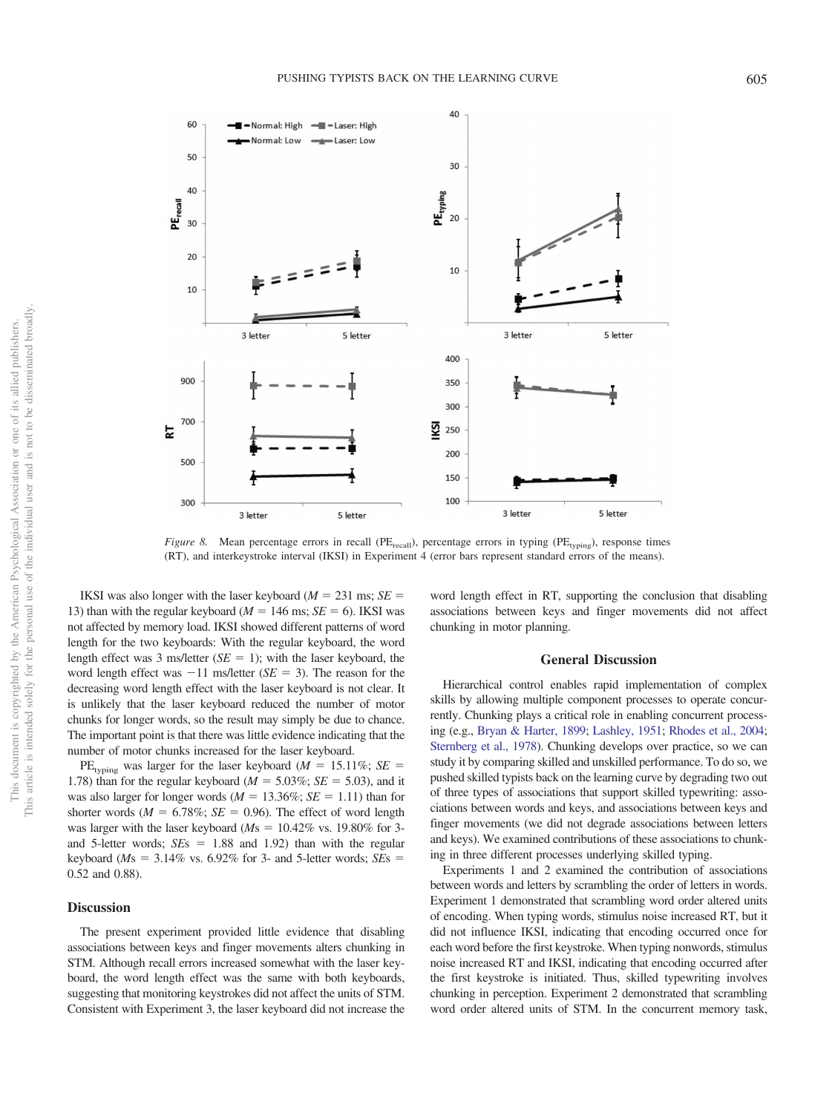

<span id="page-13-0"></span>*Figure 8.* Mean percentage errors in recall (PE<sub>recall</sub>), percentage errors in typing (PE<sub>typing</sub>), response times (RT), and interkeystroke interval (IKSI) in Experiment 4 (error bars represent standard errors of the means).

IKSI was also longer with the laser keyboard ( $M = 231$  ms;  $SE =$ 13) than with the regular keyboard ( $M = 146$  ms;  $SE = 6$ ). IKSI was not affected by memory load. IKSI showed different patterns of word length for the two keyboards: With the regular keyboard, the word length effect was 3 ms/letter ( $SE = 1$ ); with the laser keyboard, the word length effect was  $-11$  ms/letter (*SE* = 3). The reason for the decreasing word length effect with the laser keyboard is not clear. It is unlikely that the laser keyboard reduced the number of motor chunks for longer words, so the result may simply be due to chance. The important point is that there was little evidence indicating that the number of motor chunks increased for the laser keyboard.

 $PE_{typing}$  was larger for the laser keyboard ( $M = 15.11\%$ ; *SE* = 1.78) than for the regular keyboard ( $M = 5.03\%$ ; *SE* = 5.03), and it was also larger for longer words  $(M = 13.36\%; SE = 1.11)$  than for shorter words ( $M = 6.78\%$ ;  $SE = 0.96$ ). The effect of word length was larger with the laser keyboard ( $Ms = 10.42\%$  vs. 19.80% for 3and 5-letter words;  $SEs = 1.88$  and 1.92) than with the regular keyboard ( $M$ s = 3.14% vs. 6.92% for 3- and 5-letter words;  $SE$ s = 0.52 and 0.88).

#### **Discussion**

The present experiment provided little evidence that disabling associations between keys and finger movements alters chunking in STM. Although recall errors increased somewhat with the laser keyboard, the word length effect was the same with both keyboards, suggesting that monitoring keystrokes did not affect the units of STM. Consistent with Experiment 3, the laser keyboard did not increase the

word length effect in RT, supporting the conclusion that disabling associations between keys and finger movements did not affect chunking in motor planning.

### **General Discussion**

Hierarchical control enables rapid implementation of complex skills by allowing multiple component processes to operate concurrently. Chunking plays a critical role in enabling concurrent processing (e.g., [Bryan & Harter, 1899;](#page-15-1) [Lashley, 1951;](#page-16-0) [Rhodes et al., 2004;](#page-17-0) [Sternberg et al., 1978\)](#page-17-22). Chunking develops over practice, so we can study it by comparing skilled and unskilled performance. To do so, we pushed skilled typists back on the learning curve by degrading two out of three types of associations that support skilled typewriting: associations between words and keys, and associations between keys and finger movements (we did not degrade associations between letters and keys). We examined contributions of these associations to chunking in three different processes underlying skilled typing.

Experiments 1 and 2 examined the contribution of associations between words and letters by scrambling the order of letters in words. Experiment 1 demonstrated that scrambling word order altered units of encoding. When typing words, stimulus noise increased RT, but it did not influence IKSI, indicating that encoding occurred once for each word before the first keystroke. When typing nonwords, stimulus noise increased RT and IKSI, indicating that encoding occurred after the first keystroke is initiated. Thus, skilled typewriting involves chunking in perception. Experiment 2 demonstrated that scrambling word order altered units of STM. In the concurrent memory task,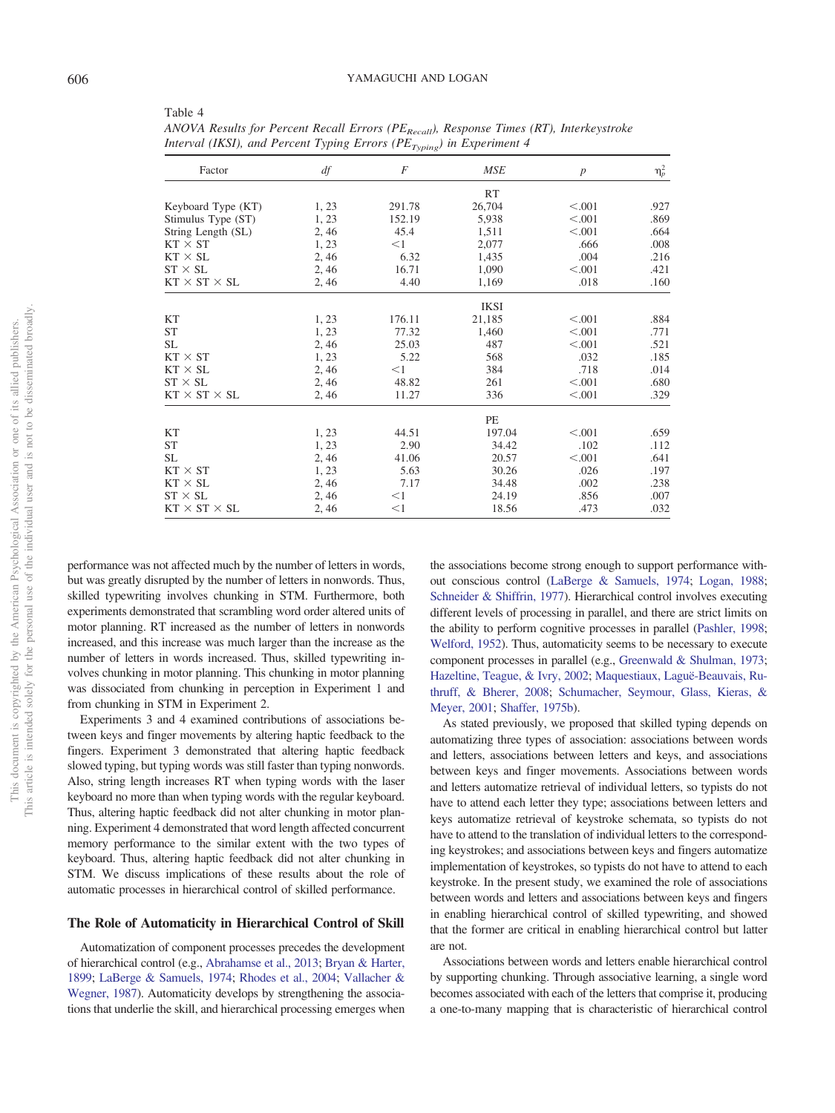<span id="page-14-0"></span>Table 4

| Factor                   | df    | F      | <b>MSE</b>  | $\boldsymbol{p}$ | $\eta_p^2$ |
|--------------------------|-------|--------|-------------|------------------|------------|
|                          |       |        | RT          |                  |            |
| Keyboard Type (KT)       | 1, 23 | 291.78 | 26,704      | < 0.001          | .927       |
| Stimulus Type (ST)       | 1, 23 | 152.19 | 5,938       | < 0.001          | .869       |
| String Length (SL)       | 2, 46 | 45.4   | 1,511       | < 0.001          | .664       |
| $KT \times ST$           | 1, 23 | $<$ 1  | 2,077       | .666             | .008       |
| $KT \times SL$           | 2, 46 | 6.32   | 1,435       | .004             | .216       |
| $ST \times SL$           | 2, 46 | 16.71  | 1,090       | < 0.001          | .421       |
| $KT \times ST \times SL$ | 2, 46 | 4.40   | 1,169       | .018             | .160       |
|                          |       |        | <b>IKSI</b> |                  |            |
| <b>KT</b>                | 1, 23 | 176.11 | 21,185      | < 0.001          | .884       |
| <b>ST</b>                | 1, 23 | 77.32  | 1,460       | < 0.001          | .771       |
| <b>SL</b>                | 2, 46 | 25.03  | 487         | < 0.001          | .521       |
| $KT \times ST$           | 1, 23 | 5.22   | 568         | .032             | .185       |
| $KT \times SL$           | 2, 46 | <1     | 384         | .718             | .014       |
| $ST \times SL$           | 2, 46 | 48.82  | 261         | < 0.001          | .680       |
| $KT \times ST \times SL$ | 2, 46 | 11.27  | 336         | < 0.001          | .329       |
|                          |       |        | PE          |                  |            |
| <b>KT</b>                | 1, 23 | 44.51  | 197.04      | < 0.001          | .659       |
| <b>ST</b>                | 1, 23 | 2.90   | 34.42       | .102             | .112       |
| <b>SL</b>                | 2, 46 | 41.06  | 20.57       | < 0.001          | .641       |
| $KT \times ST$           | 1, 23 | 5.63   | 30.26       | .026             | .197       |
| $KT \times SL$           | 2, 46 | 7.17   | 34.48       | .002             | .238       |
| $ST \times SL$           | 2, 46 | $<$ 1  | 24.19       | .856             | .007       |
| $KT \times ST \times SL$ | 2, 46 | $<$ 1  | 18.56       | .473             | .032       |

*ANOVA Results for Percent Recall Errors (PE<sub>Recall</sub>), Response Times (RT), Interkeystroke*<br>Interval (IKSI), and Percent Typing Errors (PE<sub>Recall</sub>), in Experiment 4 *Interval (IKSI), and Percent Typing Errors (PE<sub>2</sub>)* 

performance was not affected much by the number of letters in words, but was greatly disrupted by the number of letters in nonwords. Thus, skilled typewriting involves chunking in STM. Furthermore, both experiments demonstrated that scrambling word order altered units of motor planning. RT increased as the number of letters in nonwords increased, and this increase was much larger than the increase as the number of letters in words increased. Thus, skilled typewriting involves chunking in motor planning. This chunking in motor planning was dissociated from chunking in perception in Experiment 1 and from chunking in STM in Experiment 2.

Experiments 3 and 4 examined contributions of associations between keys and finger movements by altering haptic feedback to the fingers. Experiment 3 demonstrated that altering haptic feedback slowed typing, but typing words was still faster than typing nonwords. Also, string length increases RT when typing words with the laser keyboard no more than when typing words with the regular keyboard. Thus, altering haptic feedback did not alter chunking in motor planning. Experiment 4 demonstrated that word length affected concurrent memory performance to the similar extent with the two types of keyboard. Thus, altering haptic feedback did not alter chunking in STM. We discuss implications of these results about the role of automatic processes in hierarchical control of skilled performance.

#### **The Role of Automaticity in Hierarchical Control of Skill**

Automatization of component processes precedes the development of hierarchical control (e.g., [Abrahamse et al., 2013;](#page-15-0) [Bryan & Harter,](#page-15-1) [1899;](#page-15-1) [LaBerge & Samuels, 1974;](#page-16-33) [Rhodes et al., 2004;](#page-17-0) [Vallacher &](#page-17-5) [Wegner, 1987\)](#page-17-5). Automaticity develops by strengthening the associations that underlie the skill, and hierarchical processing emerges when

the associations become strong enough to support performance without conscious control [\(LaBerge & Samuels, 1974;](#page-16-33) [Logan, 1988;](#page-16-34) [Schneider & Shiffrin, 1977\)](#page-17-29). Hierarchical control involves executing different levels of processing in parallel, and there are strict limits on the ability to perform cognitive processes in parallel [\(Pashler, 1998;](#page-17-28) [Welford, 1952\)](#page-17-30). Thus, automaticity seems to be necessary to execute component processes in parallel (e.g., [Greenwald & Shulman, 1973;](#page-16-35) [Hazeltine, Teague, & Ivry, 2002;](#page-16-36) [Maquestiaux, Laguë-Beauvais, Ru](#page-16-37)[thruff, & Bherer, 2008;](#page-16-37) [Schumacher, Seymour, Glass, Kieras, &](#page-17-31) [Meyer, 2001;](#page-17-31) [Shaffer, 1975b\)](#page-17-32).

As stated previously, we proposed that skilled typing depends on automatizing three types of association: associations between words and letters, associations between letters and keys, and associations between keys and finger movements. Associations between words and letters automatize retrieval of individual letters, so typists do not have to attend each letter they type; associations between letters and keys automatize retrieval of keystroke schemata, so typists do not have to attend to the translation of individual letters to the corresponding keystrokes; and associations between keys and fingers automatize implementation of keystrokes, so typists do not have to attend to each keystroke. In the present study, we examined the role of associations between words and letters and associations between keys and fingers in enabling hierarchical control of skilled typewriting, and showed that the former are critical in enabling hierarchical control but latter are not.

Associations between words and letters enable hierarchical control by supporting chunking. Through associative learning, a single word becomes associated with each of the letters that comprise it, producing a one-to-many mapping that is characteristic of hierarchical control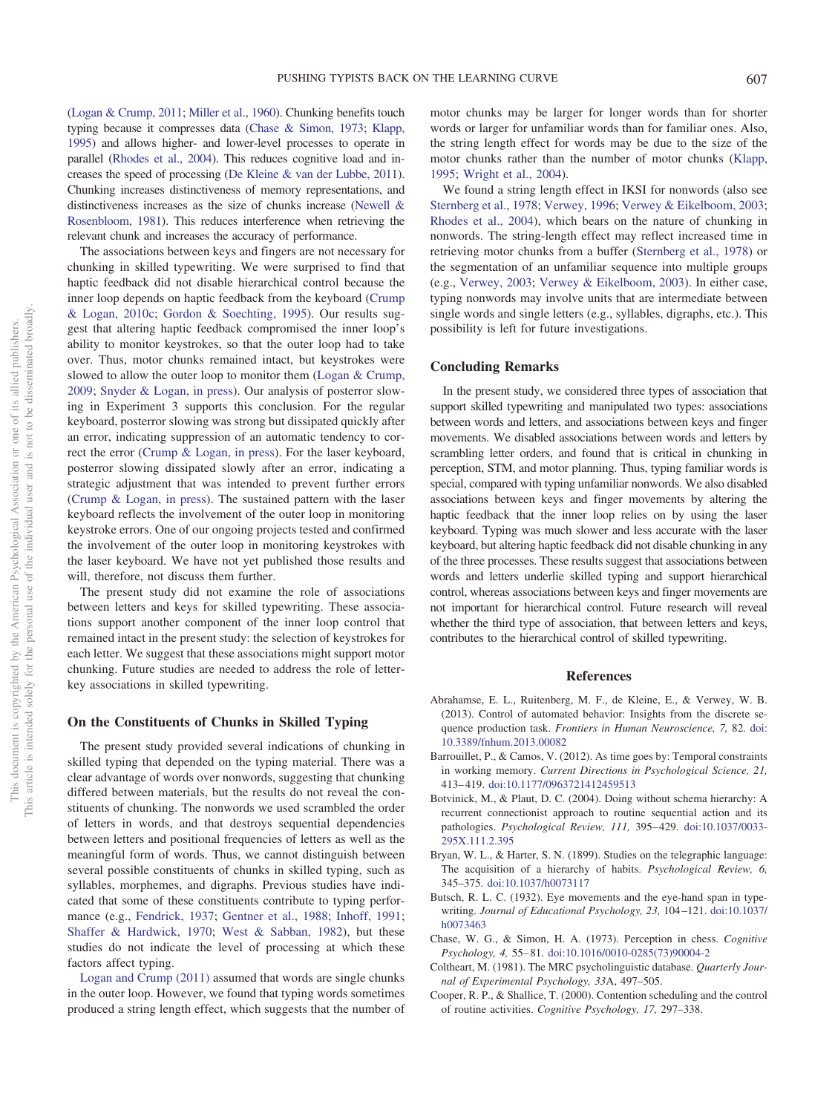<span id="page-15-4"></span>[\(Logan & Crump, 2011;](#page-16-6) [Miller et al., 1960\)](#page-16-3). Chunking benefits touch typing because it compresses data [\(Chase & Simon, 1973;](#page-15-8) [Klapp,](#page-16-27) [1995\)](#page-16-27) and allows higher- and lower-level processes to operate in parallel [\(Rhodes et al., 2004\)](#page-17-0). This reduces cognitive load and increases the speed of processing [\(De Kleine & van der Lubbe, 2011\)](#page-16-38). Chunking increases distinctiveness of memory representations, and distinctiveness increases as the size of chunks increase [\(Newell &](#page-16-9) [Rosenbloom, 1981\)](#page-16-9). This reduces interference when retrieving the relevant chunk and increases the accuracy of performance.

The associations between keys and fingers are not necessary for chunking in skilled typewriting. We were surprised to find that haptic feedback did not disable hierarchical control because the inner loop depends on haptic feedback from the keyboard [\(Crump](#page-16-13) [& Logan, 2010c;](#page-16-13) [Gordon & Soechting, 1995\)](#page-16-23). Our results suggest that altering haptic feedback compromised the inner loop's ability to monitor keystrokes, so that the outer loop had to take over. Thus, motor chunks remained intact, but keystrokes were slowed to allow the outer loop to monitor them [\(Logan & Crump,](#page-16-16) [2009;](#page-16-16) [Snyder & Logan, in press\)](#page-17-8). Our analysis of posterror slowing in Experiment 3 supports this conclusion. For the regular keyboard, posterror slowing was strong but dissipated quickly after an error, indicating suppression of an automatic tendency to correct the error [\(Crump & Logan, in press\)](#page-16-32). For the laser keyboard, posterror slowing dissipated slowly after an error, indicating a strategic adjustment that was intended to prevent further errors [\(Crump & Logan, in press\)](#page-16-32). The sustained pattern with the laser keyboard reflects the involvement of the outer loop in monitoring keystroke errors. One of our ongoing projects tested and confirmed the involvement of the outer loop in monitoring keystrokes with the laser keyboard. We have not yet published those results and will, therefore, not discuss them further.

The present study did not examine the role of associations between letters and keys for skilled typewriting. These associations support another component of the inner loop control that remained intact in the present study: the selection of keystrokes for each letter. We suggest that these associations might support motor chunking. Future studies are needed to address the role of letterkey associations in skilled typewriting.

### **On the Constituents of Chunks in Skilled Typing**

The present study provided several indications of chunking in skilled typing that depended on the typing material. There was a clear advantage of words over nonwords, suggesting that chunking differed between materials, but the results do not reveal the constituents of chunking. The nonwords we used scrambled the order of letters in words, and that destroys sequential dependencies between letters and positional frequencies of letters as well as the meaningful form of words. Thus, we cannot distinguish between several possible constituents of chunks in skilled typing, such as syllables, morphemes, and digraphs. Previous studies have indicated that some of these constituents contribute to typing performance (e.g., [Fendrick, 1937;](#page-16-5) [Gentner et al., 1988;](#page-16-22) [Inhoff, 1991;](#page-16-39) [Shaffer & Hardwick, 1970;](#page-17-33) [West & Sabban, 1982\)](#page-17-16), but these studies do not indicate the level of processing at which these factors affect typing.

[Logan and Crump \(2011\)](#page-16-6) assumed that words are single chunks in the outer loop. However, we found that typing words sometimes produced a string length effect, which suggests that the number of motor chunks may be larger for longer words than for shorter words or larger for unfamiliar words than for familiar ones. Also, the string length effect for words may be due to the size of the motor chunks rather than the number of motor chunks [\(Klapp,](#page-16-27) [1995;](#page-16-27) [Wright et al., 2004\)](#page-17-25).

We found a string length effect in IKSI for nonwords (also see [Sternberg et al., 1978;](#page-17-22) [Verwey, 1996;](#page-17-11) [Verwey & Eikelboom, 2003;](#page-17-34) [Rhodes et al., 2004\)](#page-17-0), which bears on the nature of chunking in nonwords. The string-length effect may reflect increased time in retrieving motor chunks from a buffer [\(Sternberg et al., 1978\)](#page-17-22) or the segmentation of an unfamiliar sequence into multiple groups (e.g., [Verwey, 2003;](#page-17-35) [Verwey & Eikelboom, 2003\)](#page-17-34). In either case, typing nonwords may involve units that are intermediate between single words and single letters (e.g., syllables, digraphs, etc.). This possibility is left for future investigations.

#### **Concluding Remarks**

In the present study, we considered three types of association that support skilled typewriting and manipulated two types: associations between words and letters, and associations between keys and finger movements. We disabled associations between words and letters by scrambling letter orders, and found that is critical in chunking in perception, STM, and motor planning. Thus, typing familiar words is special, compared with typing unfamiliar nonwords. We also disabled associations between keys and finger movements by altering the haptic feedback that the inner loop relies on by using the laser keyboard. Typing was much slower and less accurate with the laser keyboard, but altering haptic feedback did not disable chunking in any of the three processes. These results suggest that associations between words and letters underlie skilled typing and support hierarchical control, whereas associations between keys and finger movements are not important for hierarchical control. Future research will reveal whether the third type of association, that between letters and keys, contributes to the hierarchical control of skilled typewriting.

### **References**

- <span id="page-15-0"></span>Abrahamse, E. L., Ruitenberg, M. F., de Kleine, E., & Verwey, W. B. (2013). Control of automated behavior: Insights from the discrete sequence production task. *Frontiers in Human Neuroscience, 7,* 82. [doi:](http://dx.doi.org/10.3389/fnhum.2013.00082) [10.3389/fnhum.2013.00082](http://dx.doi.org/10.3389/fnhum.2013.00082)
- <span id="page-15-7"></span>Barrouillet, P., & Camos, V. (2012). As time goes by: Temporal constraints in working memory. *Current Directions in Psychological Science, 21,* 413– 419. [doi:10.1177/0963721412459513](http://dx.doi.org/10.1177/0963721412459513)
- <span id="page-15-3"></span>Botvinick, M., & Plaut, D. C. (2004). Doing without schema hierarchy: A recurrent connectionist approach to routine sequential action and its pathologies. *Psychological Review, 111,* 395– 429. [doi:10.1037/0033-](http://dx.doi.org/10.1037/0033-295X.111.2.395) [295X.111.2.395](http://dx.doi.org/10.1037/0033-295X.111.2.395)
- <span id="page-15-1"></span>Bryan, W. L., & Harter, S. N. (1899). Studies on the telegraphic language: The acquisition of a hierarchy of habits. *Psychological Review, 6,* 345–375. [doi:10.1037/h0073117](http://dx.doi.org/10.1037/h0073117)
- <span id="page-15-5"></span>Butsch, R. L. C. (1932). Eye movements and the eye-hand span in typewriting. *Journal of Educational Psychology, 23,* 104 –121. [doi:10.1037/](http://dx.doi.org/10.1037/h0073463) [h0073463](http://dx.doi.org/10.1037/h0073463)
- <span id="page-15-8"></span>Chase, W. G., & Simon, H. A. (1973). Perception in chess. *Cognitive Psychology, 4,* 55– 81. [doi:10.1016/0010-0285\(73\)90004-2](http://dx.doi.org/10.1016/0010-0285%2873%2990004-2)
- <span id="page-15-6"></span>Coltheart, M. (1981). The MRC psycholinguistic database. *Quarterly Journal of Experimental Psychology, 33*A, 497–505.
- <span id="page-15-2"></span>Cooper, R. P., & Shallice, T. (2000). Contention scheduling and the control of routine activities. *Cognitive Psychology, 17,* 297–338.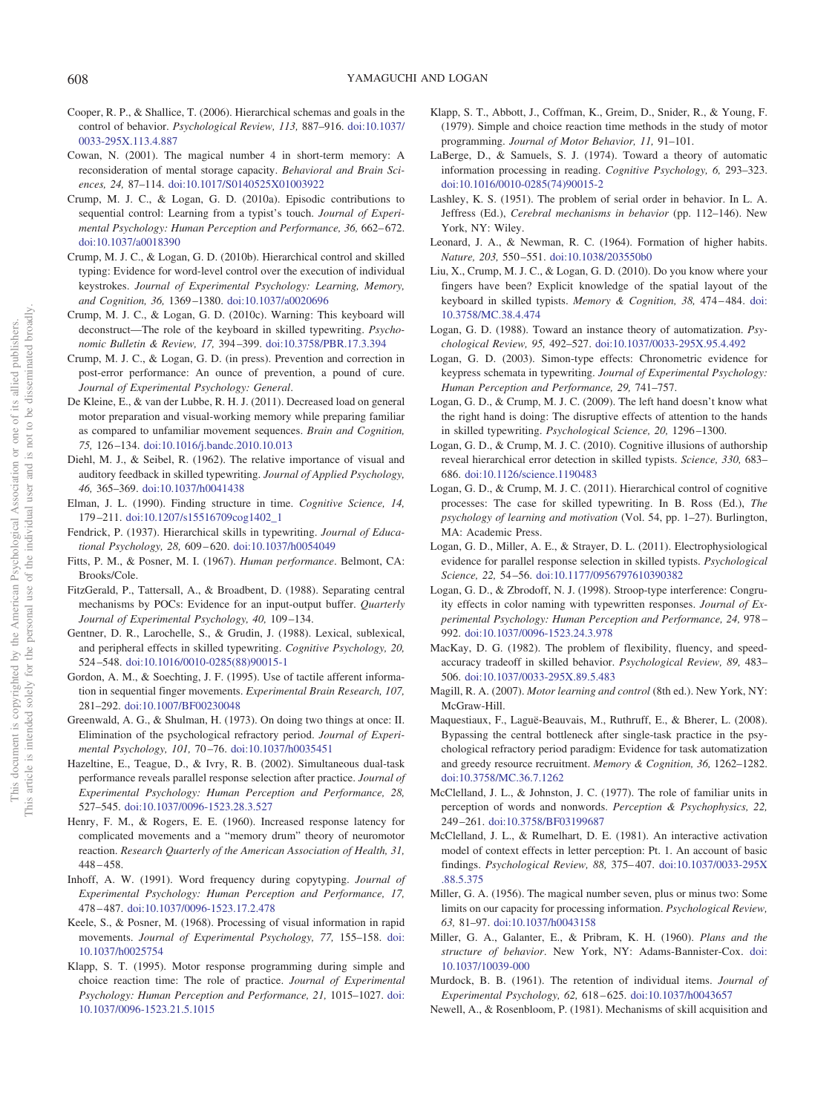- Cooper, R. P., & Shallice, T. (2006). Hierarchical schemas and goals in the control of behavior. *Psychological Review, 113,* 887–916. [doi:10.1037/](http://dx.doi.org/10.1037/0033-295X.113.4.887) [0033-295X.113.4.887](http://dx.doi.org/10.1037/0033-295X.113.4.887)
- <span id="page-16-30"></span>Cowan, N. (2001). The magical number 4 in short-term memory: A reconsideration of mental storage capacity. *Behavioral and Brain Sciences, 24,* 87–114. [doi:10.1017/S0140525X01003922](http://dx.doi.org/10.1017/S0140525X01003922)
- <span id="page-16-11"></span>Crump, M. J. C., & Logan, G. D. (2010a). Episodic contributions to sequential control: Learning from a typist's touch. *Journal of Experimental Psychology: Human Perception and Performance, 36,* 662– 672. [doi:10.1037/a0018390](http://dx.doi.org/10.1037/a0018390)
- <span id="page-16-12"></span>Crump, M. J. C., & Logan, G. D. (2010b). Hierarchical control and skilled typing: Evidence for word-level control over the execution of individual keystrokes. *Journal of Experimental Psychology: Learning, Memory, and Cognition, 36,* 1369 –1380. [doi:10.1037/a0020696](http://dx.doi.org/10.1037/a0020696)
- <span id="page-16-13"></span>Crump, M. J. C., & Logan, G. D. (2010c). Warning: This keyboard will deconstruct—The role of the keyboard in skilled typewriting. *Psychonomic Bulletin & Review, 17,* 394 –399. [doi:10.3758/PBR.17.3.394](http://dx.doi.org/10.3758/PBR.17.3.394)
- <span id="page-16-32"></span>Crump, M. J. C., & Logan, G. D. (in press). Prevention and correction in post-error performance: An ounce of prevention, a pound of cure. *Journal of Experimental Psychology: General*.
- <span id="page-16-38"></span>De Kleine, E., & van der Lubbe, R. H. J. (2011). Decreased load on general motor preparation and visual-working memory while preparing familiar as compared to unfamiliar movement sequences. *Brain and Cognition, 75,* 126 –134. [doi:10.1016/j.bandc.2010.10.013](http://dx.doi.org/10.1016/j.bandc.2010.10.013)
- <span id="page-16-29"></span>Diehl, M. J., & Seibel, R. (1962). The relative importance of visual and auditory feedback in skilled typewriting. *Journal of Applied Psychology, 46,* 365–369. [doi:10.1037/h0041438](http://dx.doi.org/10.1037/h0041438)
- <span id="page-16-4"></span>Elman, J. L. (1990). Finding structure in time. *Cognitive Science, 14,* 179 –211. [doi:10.1207/s15516709cog1402\\_1](http://dx.doi.org/10.1207/s15516709cog1402_1)
- <span id="page-16-5"></span>Fendrick, P. (1937). Hierarchical skills in typewriting. *Journal of Educational Psychology, 28,* 609 – 620. [doi:10.1037/h0054049](http://dx.doi.org/10.1037/h0054049)
- <span id="page-16-18"></span>Fitts, P. M., & Posner, M. I. (1967). *Human performance*. Belmont, CA: Brooks/Cole.
- <span id="page-16-31"></span>FitzGerald, P., Tattersall, A., & Broadbent, D. (1988). Separating central mechanisms by POCs: Evidence for an input-output buffer. *Quarterly Journal of Experimental Psychology, 40,* 109 –134.
- <span id="page-16-22"></span>Gentner, D. R., Larochelle, S., & Grudin, J. (1988). Lexical, sublexical, and peripheral effects in skilled typewriting. *Cognitive Psychology, 20,* 524 –548. [doi:10.1016/0010-0285\(88\)90015-1](http://dx.doi.org/10.1016/0010-0285%2888%2990015-1)
- <span id="page-16-23"></span>Gordon, A. M., & Soechting, J. F. (1995). Use of tactile afferent information in sequential finger movements. *Experimental Brain Research, 107,* 281–292. [doi:10.1007/BF00230048](http://dx.doi.org/10.1007/BF00230048)
- <span id="page-16-35"></span>Greenwald, A. G., & Shulman, H. (1973). On doing two things at once: II. Elimination of the psychological refractory period. *Journal of Experimental Psychology, 101,* 70 –76. [doi:10.1037/h0035451](http://dx.doi.org/10.1037/h0035451)
- <span id="page-16-36"></span>Hazeltine, E., Teague, D., & Ivry, R. B. (2002). Simultaneous dual-task performance reveals parallel response selection after practice. *Journal of Experimental Psychology: Human Perception and Performance, 28,* 527–545. [doi:10.1037/0096-1523.28.3.527](http://dx.doi.org/10.1037/0096-1523.28.3.527)
- <span id="page-16-25"></span>Henry, F. M., & Rogers, E. E. (1960). Increased response latency for complicated movements and a "memory drum" theory of neuromotor reaction. *Research Quarterly of the American Association of Health, 31,*  $448 - 458$
- <span id="page-16-39"></span>Inhoff, A. W. (1991). Word frequency during copytyping. *Journal of Experimental Psychology: Human Perception and Performance, 17,* 478 – 487. [doi:10.1037/0096-1523.17.2.478](http://dx.doi.org/10.1037/0096-1523.17.2.478)
- <span id="page-16-7"></span>Keele, S., & Posner, M. (1968). Processing of visual information in rapid movements. *Journal of Experimental Psychology, 77,* 155–158. [doi:](http://dx.doi.org/10.1037/h0025754) [10.1037/h0025754](http://dx.doi.org/10.1037/h0025754)
- <span id="page-16-27"></span>Klapp, S. T. (1995). Motor response programming during simple and choice reaction time: The role of practice. *Journal of Experimental Psychology: Human Perception and Performance, 21,* 1015–1027. [doi:](http://dx.doi.org/10.1037/0096-1523.21.5.1015) [10.1037/0096-1523.21.5.1015](http://dx.doi.org/10.1037/0096-1523.21.5.1015)
- <span id="page-16-26"></span>Klapp, S. T., Abbott, J., Coffman, K., Greim, D., Snider, R., & Young, F. (1979). Simple and choice reaction time methods in the study of motor programming. *Journal of Motor Behavior, 11,* 91–101.
- <span id="page-16-33"></span>LaBerge, D., & Samuels, S. J. (1974). Toward a theory of automatic information processing in reading. *Cognitive Psychology, 6,* 293–323. [doi:10.1016/0010-0285\(74\)90015-2](http://dx.doi.org/10.1016/0010-0285%2874%2990015-2)
- <span id="page-16-0"></span>Lashley, K. S. (1951). The problem of serial order in behavior. In L. A. Jeffress (Ed.), *Cerebral mechanisms in behavior* (pp. 112–146). New York, NY: Wiley.
- <span id="page-16-1"></span>Leonard, J. A., & Newman, R. C. (1964). Formation of higher habits. *Nature, 203,* 550 –551. [doi:10.1038/203550b0](http://dx.doi.org/10.1038/203550b0)
- <span id="page-16-14"></span>Liu, X., Crump, M. J. C., & Logan, G. D. (2010). Do you know where your fingers have been? Explicit knowledge of the spatial layout of the keyboard in skilled typists. *Memory & Cognition, 38,* 474 – 484. [doi:](http://dx.doi.org/10.3758/MC.38.4.474) [10.3758/MC.38.4.474](http://dx.doi.org/10.3758/MC.38.4.474)
- <span id="page-16-34"></span>Logan, G. D. (1988). Toward an instance theory of automatization. *Psychological Review, 95,* 492–527. [doi:10.1037/0033-295X.95.4.492](http://dx.doi.org/10.1037/0033-295X.95.4.492)
- <span id="page-16-15"></span>Logan, G. D. (2003). Simon-type effects: Chronometric evidence for keypress schemata in typewriting. *Journal of Experimental Psychology: Human Perception and Performance, 29,* 741–757.
- <span id="page-16-16"></span>Logan, G. D., & Crump, M. J. C. (2009). The left hand doesn't know what the right hand is doing: The disruptive effects of attention to the hands in skilled typewriting. *Psychological Science, 20,* 1296 –1300.
- <span id="page-16-10"></span>Logan, G. D., & Crump, M. J. C. (2010). Cognitive illusions of authorship reveal hierarchical error detection in skilled typists. *Science, 330,* 683– 686. [doi:10.1126/science.1190483](http://dx.doi.org/10.1126/science.1190483)
- <span id="page-16-6"></span>Logan, G. D., & Crump, M. J. C. (2011). Hierarchical control of cognitive processes: The case for skilled typewriting. In B. Ross (Ed.), *The psychology of learning and motivation* (Vol. 54, pp. 1–27). Burlington, MA: Academic Press.
- <span id="page-16-17"></span>Logan, G. D., Miller, A. E., & Strayer, D. L. (2011). Electrophysiological evidence for parallel response selection in skilled typists. *Psychological Science, 22,* 54 –56. [doi:10.1177/0956797610390382](http://dx.doi.org/10.1177/0956797610390382)
- <span id="page-16-28"></span>Logan, G. D., & Zbrodoff, N. J. (1998). Stroop-type interference: Congruity effects in color naming with typewritten responses. *Journal of Experimental Psychology: Human Perception and Performance, 24,* 978 – 992. [doi:10.1037/0096-1523.24.3.978](http://dx.doi.org/10.1037/0096-1523.24.3.978)
- <span id="page-16-2"></span>MacKay, D. G. (1982). The problem of flexibility, fluency, and speedaccuracy tradeoff in skilled behavior. *Psychological Review, 89,* 483– 506. [doi:10.1037/0033-295X.89.5.483](http://dx.doi.org/10.1037/0033-295X.89.5.483)
- <span id="page-16-24"></span>Magill, R. A. (2007). *Motor learning and control* (8th ed.). New York, NY: McGraw-Hill.
- <span id="page-16-37"></span>Maquestiaux, F., Laguë-Beauvais, M., Ruthruff, E., & Bherer, L. (2008). Bypassing the central bottleneck after single-task practice in the psychological refractory period paradigm: Evidence for task automatization and greedy resource recruitment. *Memory & Cognition, 36,* 1262–1282. [doi:10.3758/MC.36.7.1262](http://dx.doi.org/10.3758/MC.36.7.1262)
- <span id="page-16-19"></span>McClelland, J. L., & Johnston, J. C. (1977). The role of familiar units in perception of words and nonwords. *Perception & Psychophysics, 22,* 249 –261. [doi:10.3758/BF03199687](http://dx.doi.org/10.3758/BF03199687)
- <span id="page-16-20"></span>McClelland, J. L., & Rumelhart, D. E. (1981). An interactive activation model of context effects in letter perception: Pt. 1. An account of basic findings. *Psychological Review, 88,* 375– 407. [doi:10.1037/0033-295X](http://dx.doi.org/10.1037/0033-295X.88.5.375) [.88.5.375](http://dx.doi.org/10.1037/0033-295X.88.5.375)
- <span id="page-16-8"></span>Miller, G. A. (1956). The magical number seven, plus or minus two: Some limits on our capacity for processing information. *Psychological Review, 63,* 81–97. [doi:10.1037/h0043158](http://dx.doi.org/10.1037/h0043158)
- <span id="page-16-3"></span>Miller, G. A., Galanter, E., & Pribram, K. H. (1960). *Plans and the structure of behavior*. New York, NY: Adams-Bannister-Cox. [doi:](http://dx.doi.org/10.1037/10039-000) [10.1037/10039-000](http://dx.doi.org/10.1037/10039-000)
- <span id="page-16-21"></span>Murdock, B. B. (1961). The retention of individual items. *Journal of Experimental Psychology, 62,* 618 – 625. [doi:10.1037/h0043657](http://dx.doi.org/10.1037/h0043657)
- <span id="page-16-9"></span>Newell, A., & Rosenbloom, P. (1981). Mechanisms of skill acquisition and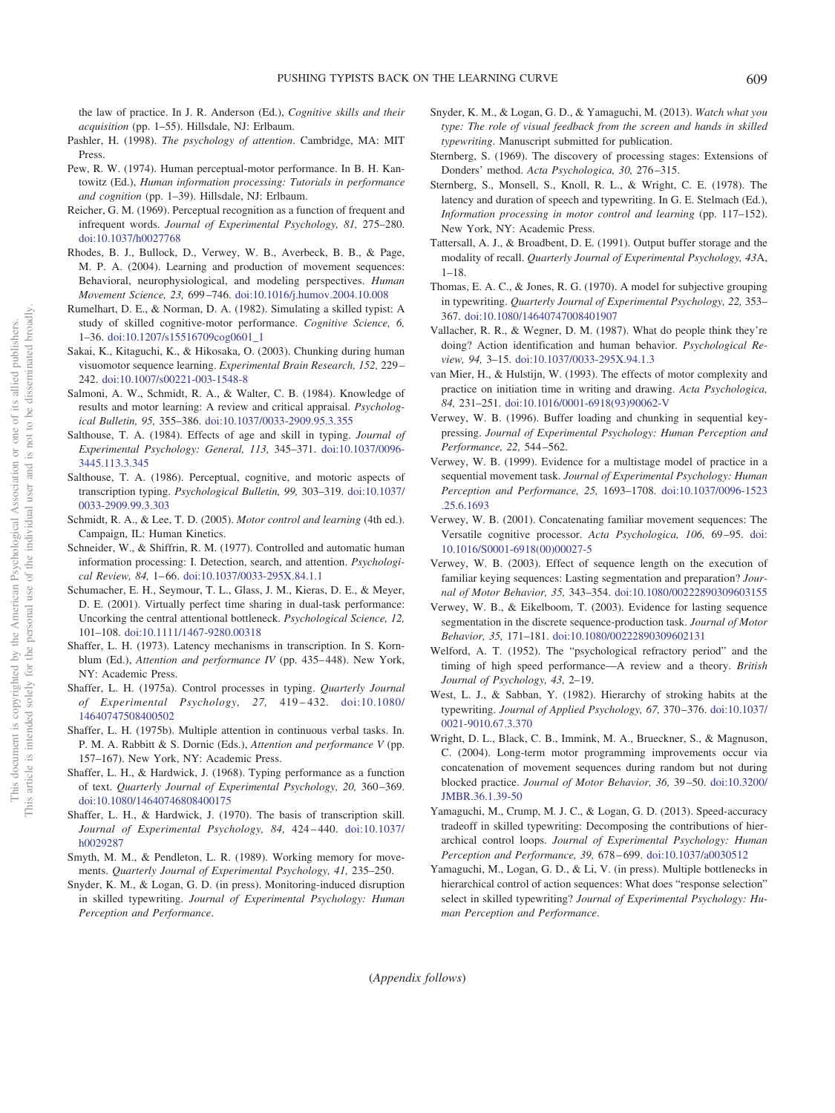the law of practice. In J. R. Anderson (Ed.), *Cognitive skills and their acquisition* (pp. 1–55). Hillsdale, NJ: Erlbaum.

- <span id="page-17-28"></span>Pashler, H. (1998). *The psychology of attention*. Cambridge, MA: MIT Press.
- <span id="page-17-10"></span>Pew, R. W. (1974). Human perceptual-motor performance. In B. H. Kantowitz (Ed.), *Human information processing: Tutorials in performance and cognition* (pp. 1–39). Hillsdale, NJ: Erlbaum.
- <span id="page-17-17"></span>Reicher, G. M. (1969). Perceptual recognition as a function of frequent and infrequent words. *Journal of Experimental Psychology, 81,* 275–280. [doi:10.1037/h0027768](http://dx.doi.org/10.1037/h0027768)
- <span id="page-17-0"></span>Rhodes, B. J., Bullock, D., Verwey, W. B., Averbeck, B. B., & Page, M. P. A. (2004). Learning and production of movement sequences: Behavioral, neurophysiological, and modeling perspectives. *Human Movement Science, 23,* 699 –746. [doi:10.1016/j.humov.2004.10.008](http://dx.doi.org/10.1016/j.humov.2004.10.008)
- <span id="page-17-7"></span>Rumelhart, D. E., & Norman, D. A. (1982). Simulating a skilled typist: A study of skilled cognitive-motor performance. *Cognitive Science, 6,* 1–36. [doi:10.1207/s15516709cog0601\\_1](http://dx.doi.org/10.1207/s15516709cog0601_1)
- <span id="page-17-18"></span>Sakai, K., Kitaguchi, K., & Hikosaka, O. (2003). Chunking during human visuomotor sequence learning. *Experimental Brain Research, 152,* 229 – 242. [doi:10.1007/s00221-003-1548-8](http://dx.doi.org/10.1007/s00221-003-1548-8)
- <span id="page-17-20"></span>Salmoni, A. W., Schmidt, R. A., & Walter, C. B. (1984). Knowledge of results and motor learning: A review and critical appraisal. *Psychological Bulletin, 95,* 355–386. [doi:10.1037/0033-2909.95.3.355](http://dx.doi.org/10.1037/0033-2909.95.3.355)
- <span id="page-17-6"></span>Salthouse, T. A. (1984). Effects of age and skill in typing. *Journal of Experimental Psychology: General, 113,* 345–371. [doi:10.1037/0096-](http://dx.doi.org/10.1037/0096-3445.113.3.345) [3445.113.3.345](http://dx.doi.org/10.1037/0096-3445.113.3.345)
- <span id="page-17-2"></span>Salthouse, T. A. (1986). Perceptual, cognitive, and motoric aspects of transcription typing. *Psychological Bulletin, 99,* 303–319. [doi:10.1037/](http://dx.doi.org/10.1037/0033-2909.99.3.303) [0033-2909.99.3.303](http://dx.doi.org/10.1037/0033-2909.99.3.303)
- <span id="page-17-19"></span>Schmidt, R. A., & Lee, T. D. (2005). *Motor control and learning* (4th ed.). Campaign, IL: Human Kinetics.
- <span id="page-17-29"></span>Schneider, W., & Shiffrin, R. M. (1977). Controlled and automatic human information processing: I. Detection, search, and attention. *Psychological Review, 84,* 1– 66. [doi:10.1037/0033-295X.84.1.1](http://dx.doi.org/10.1037/0033-295X.84.1.1)
- <span id="page-17-31"></span>Schumacher, E. H., Seymour, T. L., Glass, J. M., Kieras, D. E., & Meyer, D. E. (2001). Virtually perfect time sharing in dual-task performance: Uncorking the central attentional bottleneck. *Psychological Science, 12,* 101–108. [doi:10.1111/1467-9280.00318](http://dx.doi.org/10.1111/1467-9280.00318)
- <span id="page-17-13"></span>Shaffer, L. H. (1973). Latency mechanisms in transcription. In S. Kornblum (Ed.), *Attention and performance IV* (pp. 435–448). New York, NY: Academic Press.
- <span id="page-17-3"></span>Shaffer, L. H. (1975a). Control processes in typing. *Quarterly Journal of Experimental Psychology, 27,* 419 – 432. [doi:10.1080/](http://dx.doi.org/10.1080/14640747508400502) [14640747508400502](http://dx.doi.org/10.1080/14640747508400502)
- <span id="page-17-32"></span>Shaffer, L. H. (1975b). Multiple attention in continuous verbal tasks. In. P. M. A. Rabbitt & S. Dornic (Eds.), *Attention and performance V* (pp. 157–167). New York, NY: Academic Press.
- <span id="page-17-14"></span>Shaffer, L. H., & Hardwick, J. (1968). Typing performance as a function of text. *Quarterly Journal of Experimental Psychology, 20,* 360 –369. [doi:10.1080/14640746808400175](http://dx.doi.org/10.1080/14640746808400175)
- <span id="page-17-33"></span>Shaffer, L. H., & Hardwick, J. (1970). The basis of transcription skill. *Journal of Experimental Psychology, 84,* 424 – 440. [doi:10.1037/](http://dx.doi.org/10.1037/h0029287) [h0029287](http://dx.doi.org/10.1037/h0029287)
- <span id="page-17-27"></span>Smyth, M. M., & Pendleton, L. R. (1989). Working memory for movements. *Quarterly Journal of Experimental Psychology, 41,* 235–250.
- <span id="page-17-8"></span>Snyder, K. M., & Logan, G. D. (in press). Monitoring-induced disruption in skilled typewriting. *Journal of Experimental Psychology: Human Perception and Performance*.
- <span id="page-17-24"></span>Snyder, K. M., & Logan, G. D., & Yamaguchi, M. (2013). *Watch what you type: The role of visual feedback from the screen and hands in skilled typewriting*. Manuscript submitted for publication.
- <span id="page-17-21"></span>Sternberg, S. (1969). The discovery of processing stages: Extensions of Donders' method. *Acta Psychologica, 30,* 276 –315.
- <span id="page-17-22"></span>Sternberg, S., Monsell, S., Knoll, R. L., & Wright, C. E. (1978). The latency and duration of speech and typewriting. In G. E. Stelmach (Ed.), *Information processing in motor control and learning* (pp. 117–152). New York, NY: Academic Press.
- <span id="page-17-26"></span>Tattersall, A. J., & Broadbent, D. E. (1991). Output buffer storage and the modality of recall. *Quarterly Journal of Experimental Psychology, 43*A, 1–18.
- <span id="page-17-15"></span>Thomas, E. A. C., & Jones, R. G. (1970). A model for subjective grouping in typewriting. *Quarterly Journal of Experimental Psychology, 22,* 353– 367. [doi:10.1080/14640747008401907](http://dx.doi.org/10.1080/14640747008401907)
- <span id="page-17-5"></span>Vallacher, R. R., & Wegner, D. M. (1987). What do people think they're doing? Action identification and human behavior. *Psychological Review, 94,* 3–15. [doi:10.1037/0033-295X.94.1.3](http://dx.doi.org/10.1037/0033-295X.94.1.3)
- <span id="page-17-23"></span>van Mier, H., & Hulstijn, W. (1993). The effects of motor complexity and practice on initiation time in writing and drawing. *Acta Psychologica, 84,* 231–251. [doi:10.1016/0001-6918\(93\)90062-V](http://dx.doi.org/10.1016/0001-6918%2893%2990062-V)
- <span id="page-17-11"></span>Verwey, W. B. (1996). Buffer loading and chunking in sequential keypressing. *Journal of Experimental Psychology: Human Perception and Performance, 22,* 544 –562.
- <span id="page-17-12"></span>Verwey, W. B. (1999). Evidence for a multistage model of practice in a sequential movement task. *Journal of Experimental Psychology: Human Perception and Performance, 25,* 1693–1708. [doi:10.1037/0096-1523](http://dx.doi.org/10.1037/0096-1523.25.6.1693) [.25.6.1693](http://dx.doi.org/10.1037/0096-1523.25.6.1693)
- <span id="page-17-1"></span>Verwey, W. B. (2001). Concatenating familiar movement sequences: The Versatile cognitive processor. *Acta Psychologica, 106,* 69 –95. [doi:](http://dx.doi.org/10.1016/S0001-6918%2800%2900027-5) [10.1016/S0001-6918\(00\)00027-5](http://dx.doi.org/10.1016/S0001-6918%2800%2900027-5)
- <span id="page-17-35"></span>Verwey, W. B. (2003). Effect of sequence length on the execution of familiar keying sequences: Lasting segmentation and preparation? *Journal of Motor Behavior, 35,* 343–354. [doi:10.1080/00222890309603155](http://dx.doi.org/10.1080/00222890309603155)
- <span id="page-17-34"></span>Verwey, W. B., & Eikelboom, T. (2003). Evidence for lasting sequence segmentation in the discrete sequence-production task. *Journal of Motor Behavior, 35,* 171–181. [doi:10.1080/00222890309602131](http://dx.doi.org/10.1080/00222890309602131)
- <span id="page-17-30"></span>Welford, A. T. (1952). The "psychological refractory period" and the timing of high speed performance—A review and a theory. *British Journal of Psychology, 43,* 2–19.
- <span id="page-17-16"></span>West, L. J., & Sabban, Y. (1982). Hierarchy of stroking habits at the typewriting. *Journal of Applied Psychology, 67,* 370 –376. [doi:10.1037/](http://dx.doi.org/10.1037/0021-9010.67.3.370) [0021-9010.67.3.370](http://dx.doi.org/10.1037/0021-9010.67.3.370)
- <span id="page-17-25"></span>Wright, D. L., Black, C. B., Immink, M. A., Brueckner, S., & Magnuson, C. (2004). Long-term motor programming improvements occur via concatenation of movement sequences during random but not during blocked practice. *Journal of Motor Behavior, 36,* 39 –50. [doi:10.3200/](http://dx.doi.org/10.3200/JMBR.36.1.39-50) [JMBR.36.1.39-50](http://dx.doi.org/10.3200/JMBR.36.1.39-50)
- <span id="page-17-4"></span>Yamaguchi, M., Crump, M. J. C., & Logan, G. D. (2013). Speed-accuracy tradeoff in skilled typewriting: Decomposing the contributions of hierarchical control loops. *Journal of Experimental Psychology: Human Perception and Performance, 39,* 678 – 699. [doi:10.1037/a0030512](http://dx.doi.org/10.1037/a0030512)
- <span id="page-17-9"></span>Yamaguchi, M., Logan, G. D., & Li, V. (in press). Multiple bottlenecks in hierarchical control of action sequences: What does "response selection" select in skilled typewriting? *Journal of Experimental Psychology: Human Perception and Performance*.

(*Appendix follows*)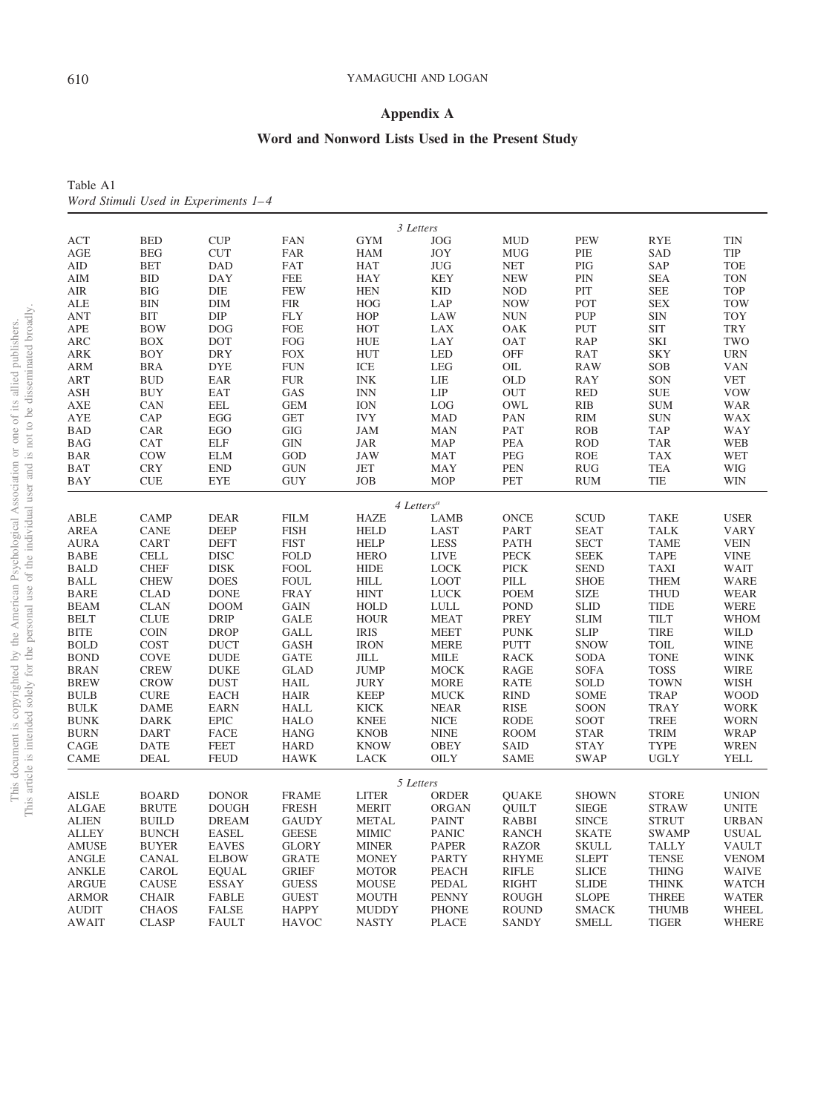### 610 YAMAGUCHI AND LOGAN

# <span id="page-18-0"></span>**Appendix A**

# **Word and Nonword Lists Used in the Present Study**

Table A1 *Word Stimuli Used in Experiments 1– 4*

| 3 Letters    |                            |                              |              |              |                          |                      |              |              |                            |
|--------------|----------------------------|------------------------------|--------------|--------------|--------------------------|----------------------|--------------|--------------|----------------------------|
| ACT          | <b>BED</b>                 | <b>CUP</b>                   | <b>FAN</b>   | <b>GYM</b>   | <b>JOG</b>               | <b>MUD</b>           | <b>PEW</b>   | <b>RYE</b>   | <b>TIN</b>                 |
| AGE          | <b>BEG</b>                 | <b>CUT</b>                   | FAR          | <b>HAM</b>   | <b>JOY</b>               | <b>MUG</b>           | PIE          | SAD          | TIP                        |
| AID          | <b>BET</b>                 | <b>DAD</b>                   | <b>FAT</b>   | <b>HAT</b>   | $\rm JUG$                | $\operatorname{NET}$ | PIG          | SAP          | <b>TOE</b>                 |
| AIM          | <b>BID</b>                 | <b>DAY</b>                   | <b>FEE</b>   | <b>HAY</b>   | <b>KEY</b>               | <b>NEW</b>           | PIN          | <b>SEA</b>   | <b>TON</b>                 |
| AIR          | <b>BIG</b>                 | DIE                          | <b>FEW</b>   | <b>HEN</b>   | <b>KID</b>               | <b>NOD</b>           | PIT          | <b>SEE</b>   | <b>TOP</b>                 |
| <b>ALE</b>   | <b>BIN</b>                 | DIM                          | <b>FIR</b>   | <b>HOG</b>   | LAP                      | <b>NOW</b>           | POT          | <b>SEX</b>   | <b>TOW</b>                 |
| <b>ANT</b>   | <b>BIT</b>                 | DIP                          | <b>FLY</b>   | <b>HOP</b>   | LAW                      | <b>NUN</b>           | <b>PUP</b>   | $\rm{SIN}$   | <b>TOY</b>                 |
| <b>APE</b>   | <b>BOW</b>                 | <b>DOG</b>                   | <b>FOE</b>   | <b>HOT</b>   | LAX                      | OAK                  | <b>PUT</b>   | <b>SIT</b>   | <b>TRY</b>                 |
| <b>ARC</b>   | <b>BOX</b>                 | DOT                          | FOG          | <b>HUE</b>   | LAY                      | <b>OAT</b>           | <b>RAP</b>   | SKI          | TWO                        |
| <b>ARK</b>   | <b>BOY</b>                 | <b>DRY</b>                   | <b>FOX</b>   | <b>HUT</b>   | <b>LED</b>               | <b>OFF</b>           | RAT          | <b>SKY</b>   | <b>URN</b>                 |
| <b>ARM</b>   | <b>BRA</b>                 | <b>DYE</b>                   | <b>FUN</b>   | ICE          | <b>LEG</b>               | OIL                  | <b>RAW</b>   | <b>SOB</b>   | <b>VAN</b>                 |
| <b>ART</b>   | <b>BUD</b>                 | EAR                          | <b>FUR</b>   | <b>INK</b>   | LIE                      | <b>OLD</b>           | <b>RAY</b>   | SON          | <b>VET</b>                 |
| <b>ASH</b>   | <b>BUY</b>                 | EAT                          | GAS          | <b>INN</b>   | LIP                      | <b>OUT</b>           | <b>RED</b>   |              | <b>VOW</b>                 |
|              |                            |                              |              |              |                          |                      |              | <b>SUE</b>   | <b>WAR</b>                 |
| <b>AXE</b>   | <b>CAN</b>                 | EEL                          | <b>GEM</b>   | <b>ION</b>   | <b>LOG</b>               | OWL                  | <b>RIB</b>   | <b>SUM</b>   |                            |
| <b>AYE</b>   | CAP                        | <b>EGG</b>                   | <b>GET</b>   | <b>IVY</b>   | <b>MAD</b>               | PAN                  | <b>RIM</b>   | <b>SUN</b>   | <b>WAX</b>                 |
| <b>BAD</b>   | CAR                        | EGO                          | <b>GIG</b>   | <b>JAM</b>   | <b>MAN</b>               | PAT                  | <b>ROB</b>   | <b>TAP</b>   | WAY                        |
| <b>BAG</b>   | CAT                        | <b>ELF</b>                   | <b>GIN</b>   | <b>JAR</b>   | <b>MAP</b>               | <b>PEA</b>           | <b>ROD</b>   | <b>TAR</b>   | <b>WEB</b>                 |
| <b>BAR</b>   | <b>COW</b>                 | <b>ELM</b>                   | GOD          | JAW          | <b>MAT</b>               | <b>PEG</b>           | <b>ROE</b>   | <b>TAX</b>   | <b>WET</b>                 |
| <b>BAT</b>   | <b>CRY</b>                 | <b>END</b>                   | <b>GUN</b>   | JET          | MAY                      | <b>PEN</b>           | <b>RUG</b>   | <b>TEA</b>   | <b>WIG</b>                 |
| <b>BAY</b>   | <b>CUE</b>                 | <b>EYE</b>                   | <b>GUY</b>   | <b>JOB</b>   | <b>MOP</b>               | PET                  | <b>RUM</b>   | TIE          | <b>WIN</b>                 |
|              |                            |                              |              |              | $4$ Letters <sup>a</sup> |                      |              |              |                            |
| <b>ABLE</b>  | CAMP                       | <b>DEAR</b>                  | <b>FILM</b>  | <b>HAZE</b>  | <b>LAMB</b>              | <b>ONCE</b>          | <b>SCUD</b>  | <b>TAKE</b>  | <b>USER</b>                |
| <b>AREA</b>  | <b>CANE</b>                | <b>DEEP</b>                  | <b>FISH</b>  | <b>HELD</b>  | LAST                     | <b>PART</b>          | <b>SEAT</b>  | <b>TALK</b>  | <b>VARY</b>                |
| AURA         | <b>CART</b>                | <b>DEFT</b>                  | <b>FIST</b>  | <b>HELP</b>  | <b>LESS</b>              | <b>PATH</b>          | <b>SECT</b>  | <b>TAME</b>  | <b>VEIN</b>                |
| <b>BABE</b>  | <b>CELL</b>                | <b>DISC</b>                  | <b>FOLD</b>  | <b>HERO</b>  | <b>LIVE</b>              | <b>PECK</b>          | <b>SEEK</b>  | <b>TAPE</b>  | <b>VINE</b>                |
| <b>BALD</b>  | <b>CHEF</b>                | <b>DISK</b>                  | <b>FOOL</b>  | <b>HIDE</b>  | <b>LOCK</b>              | <b>PICK</b>          | <b>SEND</b>  | <b>TAXI</b>  | <b>WAIT</b>                |
|              |                            |                              |              |              |                          |                      |              |              |                            |
| <b>BALL</b>  | <b>CHEW</b><br><b>CLAD</b> | <b>DOES</b>                  | <b>FOUL</b>  | <b>HILL</b>  | <b>LOOT</b>              | PILL                 | <b>SHOE</b>  | <b>THEM</b>  | <b>WARE</b><br><b>WEAR</b> |
| <b>BARE</b>  |                            | <b>DONE</b>                  | <b>FRAY</b>  | <b>HINT</b>  | <b>LUCK</b>              | <b>POEM</b>          | <b>SIZE</b>  | <b>THUD</b>  |                            |
| <b>BEAM</b>  | <b>CLAN</b>                | <b>DOOM</b>                  | <b>GAIN</b>  | <b>HOLD</b>  | <b>LULL</b>              | <b>POND</b>          | <b>SLID</b>  | <b>TIDE</b>  | <b>WERE</b>                |
| <b>BELT</b>  | <b>CLUE</b>                | <b>DRIP</b>                  | <b>GALE</b>  | <b>HOUR</b>  | <b>MEAT</b>              | <b>PREY</b>          | <b>SLIM</b>  | <b>TILT</b>  | <b>WHOM</b>                |
| <b>BITE</b>  | COIN                       | <b>DROP</b>                  | <b>GALL</b>  | <b>IRIS</b>  | <b>MEET</b>              | <b>PUNK</b>          | <b>SLIP</b>  | <b>TIRE</b>  | <b>WILD</b>                |
| <b>BOLD</b>  | COST                       | <b>DUCT</b>                  | <b>GASH</b>  | <b>IRON</b>  | <b>MERE</b>              | <b>PUTT</b>          | <b>SNOW</b>  | <b>TOIL</b>  | <b>WINE</b>                |
| <b>BOND</b>  | <b>COVE</b>                | <b>DUDE</b>                  | <b>GATE</b>  | JILL         | <b>MILE</b>              | <b>RACK</b>          | <b>SODA</b>  | <b>TONE</b>  | <b>WINK</b>                |
| <b>BRAN</b>  | <b>CREW</b>                | <b>DUKE</b>                  | <b>GLAD</b>  | <b>JUMP</b>  | <b>MOCK</b>              | <b>RAGE</b>          | <b>SOFA</b>  | <b>TOSS</b>  | <b>WIRE</b>                |
| <b>BREW</b>  | <b>CROW</b>                | <b>DUST</b>                  | <b>HAIL</b>  | <b>JURY</b>  | <b>MORE</b>              | <b>RATE</b>          | SOLD         | <b>TOWN</b>  | <b>WISH</b>                |
| <b>BULB</b>  | <b>CURE</b>                | <b>EACH</b>                  | <b>HAIR</b>  | <b>KEEP</b>  | <b>MUCK</b>              | <b>RIND</b>          | <b>SOME</b>  | <b>TRAP</b>  | <b>WOOD</b>                |
| <b>BULK</b>  | <b>DAME</b>                | <b>EARN</b>                  | <b>HALL</b>  | <b>KICK</b>  | <b>NEAR</b>              | <b>RISE</b>          | SOON         | <b>TRAY</b>  | <b>WORK</b>                |
| <b>BUNK</b>  | <b>DARK</b>                | <b>EPIC</b>                  | <b>HALO</b>  | <b>KNEE</b>  | <b>NICE</b>              | <b>RODE</b>          | SOOT         | <b>TREE</b>  | <b>WORN</b>                |
| <b>BURN</b>  | <b>DART</b>                | <b>FACE</b>                  | <b>HANG</b>  | <b>KNOB</b>  | <b>NINE</b>              | <b>ROOM</b>          | <b>STAR</b>  | <b>TRIM</b>  | WRAP                       |
| CAGE         | <b>DATE</b>                | <b>FEET</b>                  | <b>HARD</b>  | <b>KNOW</b>  | <b>OBEY</b>              | <b>SAID</b>          | <b>STAY</b>  | <b>TYPE</b>  | <b>WREN</b>                |
| <b>CAME</b>  | <b>DEAL</b>                | <b>FEUD</b>                  | <b>HAWK</b>  | <b>LACK</b>  | <b>OILY</b>              | <b>SAME</b>          | <b>SWAP</b>  | <b>UGLY</b>  | <b>YELL</b>                |
|              |                            |                              |              |              | 5 Letters                |                      |              |              |                            |
| AISLE        | <b>BOARD</b>               | <b>DONOR</b>                 | <b>FRAME</b> | <b>LITER</b> | <b>ORDER</b>             | <b>QUAKE</b>         | <b>SHOWN</b> | <b>STORE</b> | <b>UNION</b>               |
| <b>ALGAE</b> | <b>BRUTE</b>               | <b>DOUGH</b>                 | <b>FRESH</b> | <b>MERIT</b> | <b>ORGAN</b>             | <b>QUILT</b>         | <b>SIEGE</b> | <b>STRAW</b> | <b>UNITE</b>               |
| <b>ALIEN</b> | <b>BUILD</b>               | <b>DREAM</b>                 | <b>GAUDY</b> | <b>METAL</b> | <b>PAINT</b>             | <b>RABBI</b>         | <b>SINCE</b> | <b>STRUT</b> | <b>URBAN</b>               |
| <b>ALLEY</b> | <b>BUNCH</b>               | EASEL                        | <b>GEESE</b> | <b>MIMIC</b> | <b>PANIC</b>             | <b>RANCH</b>         | <b>SKATE</b> | <b>SWAMP</b> | <b>USUAL</b>               |
| <b>AMUSE</b> | <b>BUYER</b>               | <b>EAVES</b>                 | <b>GLORY</b> | <b>MINER</b> | <b>PAPER</b>             | <b>RAZOR</b>         | <b>SKULL</b> | <b>TALLY</b> | <b>VAULT</b>               |
| <b>ANGLE</b> | <b>CANAL</b>               | <b>ELBOW</b>                 | <b>GRATE</b> | <b>MONEY</b> | <b>PARTY</b>             | <b>RHYME</b>         | <b>SLEPT</b> | <b>TENSE</b> | <b>VENOM</b>               |
| <b>ANKLE</b> | CAROL                      |                              | <b>GRIEF</b> | <b>MOTOR</b> | <b>PEACH</b>             | <b>RIFLE</b>         | <b>SLICE</b> | <b>THING</b> | <b>WAIVE</b>               |
|              | CAUSE                      | <b>EQUAL</b><br><b>ESSAY</b> | <b>GUESS</b> |              |                          | <b>RIGHT</b>         | <b>SLIDE</b> | <b>THINK</b> | <b>WATCH</b>               |
| <b>ARGUE</b> | <b>CHAIR</b>               | <b>FABLE</b>                 | <b>GUEST</b> | <b>MOUSE</b> | PEDAL<br><b>PENNY</b>    | <b>ROUGH</b>         | <b>SLOPE</b> | <b>THREE</b> | <b>WATER</b>               |
| <b>ARMOR</b> |                            |                              |              | <b>MOUTH</b> |                          |                      |              |              |                            |
| <b>AUDIT</b> | <b>CHAOS</b>               | <b>FALSE</b>                 | <b>HAPPY</b> | <b>MUDDY</b> | <b>PHONE</b>             | <b>ROUND</b>         | <b>SMACK</b> | <b>THUMB</b> | WHEEL                      |
| <b>AWAIT</b> | <b>CLASP</b>               | <b>FAULT</b>                 | <b>HAVOC</b> | <b>NASTY</b> | <b>PLACE</b>             | <b>SANDY</b>         | <b>SMELL</b> | <b>TIGER</b> | <b>WHERE</b>               |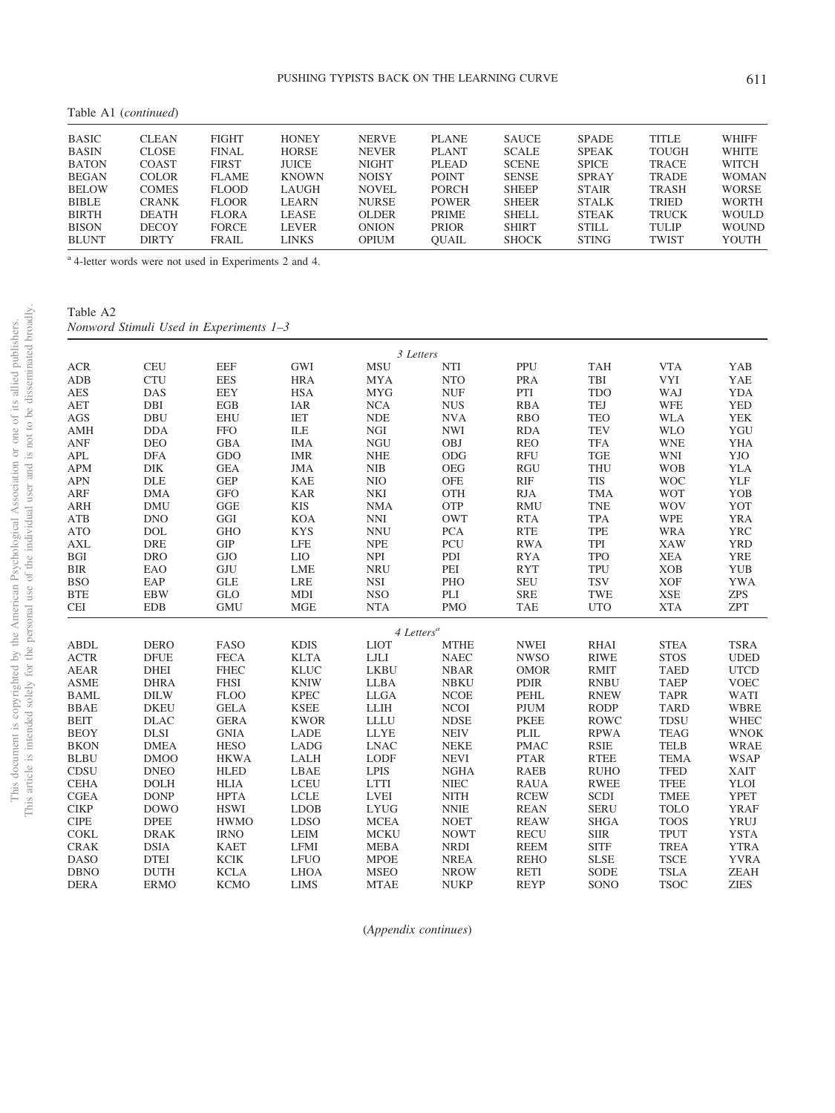### Table A1 (*continued*)

| <b>BASIC</b> | <b>CLEAN</b> | <b>FIGHT</b> | <b>HONEY</b> | <b>NERVE</b> | <b>PLANE</b> | <b>SAUCE</b> | <b>SPADE</b> | <b>TITLE</b> | <b>WHIFF</b> |
|--------------|--------------|--------------|--------------|--------------|--------------|--------------|--------------|--------------|--------------|
| <b>BASIN</b> | <b>CLOSE</b> | <b>FINAL</b> | <b>HORSE</b> | <b>NEVER</b> | PLANT        | <b>SCALE</b> | <b>SPEAK</b> | <b>TOUGH</b> | <b>WHITE</b> |
| <b>BATON</b> | <b>COAST</b> | <b>FIRST</b> | JUICE        | <b>NIGHT</b> | PLEAD        | <b>SCENE</b> | <b>SPICE</b> | <b>TRACE</b> | <b>WITCH</b> |
| <b>BEGAN</b> | <b>COLOR</b> | <b>FLAME</b> | <b>KNOWN</b> | <b>NOISY</b> | <b>POINT</b> | <b>SENSE</b> | <b>SPRAY</b> | <b>TRADE</b> | <b>WOMAN</b> |
| <b>BELOW</b> | <b>COMES</b> | FLOOD        | LAUGH        | NOVEL.       | <b>PORCH</b> | <b>SHEEP</b> | <b>STAIR</b> | <b>TRASH</b> | <b>WORSE</b> |
| BIBLE        | <b>CRANK</b> | <b>FLOOR</b> | <b>LEARN</b> | <b>NURSE</b> | <b>POWER</b> | <b>SHEER</b> | <b>STALK</b> | <b>TRIED</b> | <b>WORTH</b> |
| <b>BIRTH</b> | <b>DEATH</b> | <b>FLORA</b> | LEASE        | <b>OLDER</b> | <b>PRIME</b> | <b>SHELL</b> | <b>STEAK</b> | <b>TRUCK</b> | <b>WOULD</b> |
| <b>BISON</b> | <b>DECOY</b> | <b>FORCE</b> | <b>LEVER</b> | <b>ONION</b> | <b>PRIOR</b> | <b>SHIRT</b> | <b>STILL</b> | <b>TULIP</b> | <b>WOUND</b> |
| <b>BLUNT</b> | <b>DIRTY</b> | <b>FRAIL</b> | <b>LINKS</b> | <b>OPIUM</b> | <b>OUAIL</b> | <b>SHOCK</b> | <b>STING</b> | <b>TWIST</b> | YOUTH        |
|              |              |              |              |              |              |              |              |              |              |

<sup>a</sup> 4-letter words were not used in Experiments 2 and 4.

Table A2 *Nonword Stimuli Used in Experiments 1–3*

|                       |                              |                             |               | 3 Letters                   |                           |                                  |                             |                              |             |
|-----------------------|------------------------------|-----------------------------|---------------|-----------------------------|---------------------------|----------------------------------|-----------------------------|------------------------------|-------------|
| <b>ACR</b>            | <b>CEU</b>                   | <b>EEF</b>                  | GWI           | <b>MSU</b>                  | <b>NTI</b>                | PPU                              | <b>TAH</b>                  | <b>VTA</b>                   | YAB         |
| ADB                   | <b>CTU</b>                   | <b>EES</b>                  | <b>HRA</b>    | <b>MYA</b>                  | <b>NTO</b>                | <b>PRA</b>                       | TBI                         | <b>VYI</b>                   | YAE         |
| <b>AES</b>            | DAS                          | <b>EEY</b>                  | <b>HSA</b>    | <b>MYG</b>                  | $\ensuremath{\text{NUF}}$ | PTI                              | <b>TDO</b>                  | <b>WAJ</b>                   | <b>YDA</b>  |
| AET                   | DBI                          | EGB                         | <b>IAR</b>    | <b>NCA</b>                  | <b>NUS</b>                | <b>RBA</b>                       | TEJ                         | <b>WFE</b>                   | <b>YED</b>  |
| AGS                   | <b>DBU</b>                   | <b>EHU</b>                  | IET           | NDE                         | <b>NVA</b>                | <b>RBO</b>                       | <b>TEO</b>                  | <b>WLA</b>                   | <b>YEK</b>  |
| AMH                   | <b>DDA</b>                   | <b>FFO</b>                  | $\rm ILE$     | NGI                         | <b>NWI</b>                | <b>RDA</b>                       | $\operatorname{TEV}$        | <b>WLO</b>                   | YGU         |
| $\operatorname{ANF}$  | <b>DEO</b>                   | <b>GBA</b>                  | <b>IMA</b>    | <b>NGU</b>                  | OBJ                       | <b>REO</b>                       | <b>TFA</b>                  | <b>WNE</b>                   | <b>YHA</b>  |
| APL                   | <b>DFA</b>                   | GDO                         | <b>IMR</b>    | <b>NHE</b>                  | <b>ODG</b>                | <b>RFU</b>                       | <b>TGE</b>                  | <b>WNI</b>                   | <b>YJO</b>  |
| <b>APM</b>            | <b>DIK</b>                   | <b>GEA</b>                  | <b>JMA</b>    | $\ensuremath{\mathsf{NIB}}$ | <b>OEG</b>                | <b>RGU</b>                       | <b>THU</b>                  | <b>WOB</b>                   | <b>YLA</b>  |
| <b>APN</b>            | $\rm{DLE}$                   | $\ensuremath{\mathsf{GEP}}$ | <b>KAE</b>    | ${\rm NIO}$                 | ${\rm OFE}$               | $\mathbf{R}\mathbf{I}\mathbf{F}$ | TIS                         | <b>WOC</b>                   | YLF         |
| ARF                   | <b>DMA</b>                   | <b>GFO</b>                  | <b>KAR</b>    | NKI                         | OTH                       | <b>RJA</b>                       | <b>TMA</b>                  | <b>WOT</b>                   | YOB         |
| <b>ARH</b>            | <b>DMU</b>                   | GGE                         | <b>KIS</b>    | <b>NMA</b>                  | <b>OTP</b>                | <b>RMU</b>                       | $\ensuremath{\mathsf{TNE}}$ | <b>WOV</b>                   | YOT         |
| ${\rm ATB}$           | $\mathop{\rm DNO}$           | GGI                         | <b>KOA</b>    | <b>NNI</b>                  | <b>OWT</b>                | <b>RTA</b>                       | TPA                         | <b>WPE</b>                   | <b>YRA</b>  |
| <b>ATO</b>            | <b>DOL</b>                   | <b>GHO</b>                  | <b>KYS</b>    | <b>NNU</b>                  | <b>PCA</b>                | $\ensuremath{\mathsf{RTE}}$      | TPE                         | <b>WRA</b>                   | <b>YRC</b>  |
| ${\bf AXL}$           | ${\rm DRE}$                  | ${\rm GIP}$                 | LFE           | <b>NPE</b>                  | ${\mbox{PCU}}$            | <b>RWA</b>                       | TPI                         | <b>XAW</b>                   | <b>YRD</b>  |
| <b>BGI</b>            | <b>DRO</b>                   | <b>GJO</b>                  | <b>LIO</b>    | <b>NPI</b>                  | PDI                       | <b>RYA</b>                       | <b>TPO</b>                  | <b>XEA</b>                   | <b>YRE</b>  |
| ${\rm BIR}$           | EAO                          | GJU                         | <b>LME</b>    | <b>NRU</b>                  | PEI                       | <b>RYT</b>                       | TPU                         | <b>XOB</b>                   | YUB         |
| <b>BSO</b>            | EAP                          | <b>GLE</b>                  | LRE           | <b>NSI</b>                  | PHO                       | <b>SEU</b>                       | <b>TSV</b>                  | <b>XOF</b>                   | <b>YWA</b>  |
| <b>BTE</b>            | <b>EBW</b>                   | <b>GLO</b>                  | MDI           | <b>NSO</b>                  | PLI                       | <b>SRE</b>                       | TWE                         | <b>XSE</b>                   | <b>ZPS</b>  |
| CEI                   | <b>EDB</b>                   | <b>GMU</b>                  | MGE           | <b>NTA</b>                  | <b>PMO</b>                | <b>TAE</b>                       | <b>UTO</b>                  | <b>XTA</b>                   | <b>ZPT</b>  |
|                       |                              |                             |               | $4$ Letters <sup>a</sup>    |                           |                                  |                             |                              |             |
| <b>ABDL</b>           | <b>DERO</b>                  | FASO                        | <b>KDIS</b>   | <b>LIOT</b>                 | <b>MTHE</b>               | <b>NWEI</b>                      | <b>RHAI</b>                 | <b>STEA</b>                  | <b>TSRA</b> |
| $\operatorname{ACTR}$ | $\operatorname{DFUE}$        | ${\rm FECA}$                | <b>KLTA</b>   | LJLI                        | <b>NAEC</b>               | <b>NWSO</b>                      | <b>RIWE</b>                 | <b>STOS</b>                  | <b>UDED</b> |
| <b>AEAR</b>           | <b>DHEI</b>                  | <b>FHEC</b>                 | <b>KLUC</b>   | <b>LKBU</b>                 | $\operatorname{NBAR}$     | <b>OMOR</b>                      | <b>RMIT</b>                 | <b>TAED</b>                  | <b>UTCD</b> |
| <b>ASME</b>           | <b>DHRA</b>                  | <b>FHSI</b>                 | <b>KNIW</b>   | <b>LLBA</b>                 | <b>NBKU</b>               | <b>PDIR</b>                      | <b>RNBU</b>                 | <b>TAEP</b>                  | <b>VOEC</b> |
| <b>BAML</b>           | $\rm{DILW}$                  | <b>FLOO</b>                 | <b>KPEC</b>   | <b>LLGA</b>                 | <b>NCOE</b>               | PEHL                             | <b>RNEW</b>                 | <b>TAPR</b>                  | WATI        |
| <b>BBAE</b>           | <b>DKEU</b>                  | <b>GELA</b>                 | <b>KSEE</b>   | <b>LLIH</b>                 | <b>NCOI</b>               | PJUM                             | <b>RODP</b>                 | <b>TARD</b>                  | <b>WBRE</b> |
| <b>BEIT</b>           | $\ensuremath{\mathsf{DLAC}}$ | <b>GERA</b>                 | <b>KWOR</b>   | <b>LLLU</b>                 | <b>NDSE</b>               | $\ensuremath{\mathsf{PKEE}}$     | <b>ROWC</b>                 | $\operatorname{TDSU}$        | <b>WHEC</b> |
| <b>BEOY</b>           | <b>DLSI</b>                  | <b>GNIA</b>                 | LADE          | <b>LLYE</b>                 | <b>NEIV</b>               | PLIL                             | <b>RPWA</b>                 | <b>TEAG</b>                  | <b>WNOK</b> |
| <b>BKON</b>           | <b>DMEA</b>                  | <b>HESO</b>                 | ${\rm LADG}$  | <b>LNAC</b>                 | <b>NEKE</b>               | <b>PMAC</b>                      | <b>RSIE</b>                 | TELB                         | <b>WRAE</b> |
| <b>BLBU</b>           | <b>DMOO</b>                  | <b>HKWA</b>                 | LALH          | <b>LODF</b>                 | <b>NEVI</b>               | <b>PTAR</b>                      | <b>RTEE</b>                 | <b>TEMA</b>                  | <b>WSAP</b> |
| <b>CDSU</b>           | <b>DNEO</b>                  | <b>HLED</b>                 | LBAE          | <b>LPIS</b>                 | <b>NGHA</b>               | <b>RAEB</b>                      | <b>RUHO</b>                 | TFED                         | XAIT        |
| <b>CEHA</b>           | <b>DOLH</b>                  | <b>HLIA</b>                 | <b>LCEU</b>   | <b>LTTI</b>                 | $\rm NIEC$                | <b>RAUA</b>                      | <b>RWEE</b>                 | TFEE                         | YLOI        |
| <b>CGEA</b>           | <b>DONP</b>                  | <b>HPTA</b>                 | $_{\rm LCLE}$ | <b>LVEI</b>                 | <b>NITH</b>               | <b>RCEW</b>                      | SCDI                        | <b>TMEE</b>                  | YPET        |
| <b>CIKP</b>           | <b>DOWO</b>                  | <b>HSWI</b>                 | <b>LDOB</b>   | <b>LYUG</b>                 | <b>NNIE</b>               | <b>REAN</b>                      | <b>SERU</b>                 | <b>TOLO</b>                  | <b>YRAF</b> |
| <b>CIPE</b>           | <b>DPEE</b>                  | <b>HWMO</b>                 | <b>LDSO</b>   | <b>MCEA</b>                 | <b>NOET</b>               | <b>REAW</b>                      | <b>SHGA</b>                 | <b>TOOS</b>                  | YRUJ        |
| <b>COKL</b>           | <b>DRAK</b>                  | <b>IRNO</b>                 | LEIM          | <b>MCKU</b>                 | <b>NOWT</b>               | <b>RECU</b>                      | <b>SIIR</b>                 | TPUT                         | <b>YSTA</b> |
| <b>CRAK</b>           | <b>DSIA</b>                  | <b>KAET</b>                 | <b>LFMI</b>   | <b>MEBA</b>                 | <b>NRDI</b>               | <b>REEM</b>                      | $\operatorname{SITF}$       | <b>TREA</b>                  | <b>YTRA</b> |
| <b>DASO</b>           | <b>DTEI</b>                  | <b>KCIK</b>                 | <b>LFUO</b>   | <b>MPOE</b>                 | <b>NREA</b>               | <b>REHO</b>                      | <b>SLSE</b>                 | $\ensuremath{\mathsf{TSCE}}$ | <b>YVRA</b> |
| <b>DBNO</b>           | <b>DUTH</b>                  | <b>KCLA</b>                 | <b>LHOA</b>   | <b>MSEO</b>                 | <b>NROW</b>               | <b>RETI</b>                      | <b>SODE</b>                 | <b>TSLA</b>                  | <b>ZEAH</b> |
| <b>DERA</b>           | <b>ERMO</b>                  | <b>KCMO</b>                 | <b>LIMS</b>   | <b>MTAE</b>                 | <b>NUKP</b>               | <b>REYP</b>                      | SONO                        | <b>TSOC</b>                  | <b>ZIES</b> |

(*Appendix continues*)